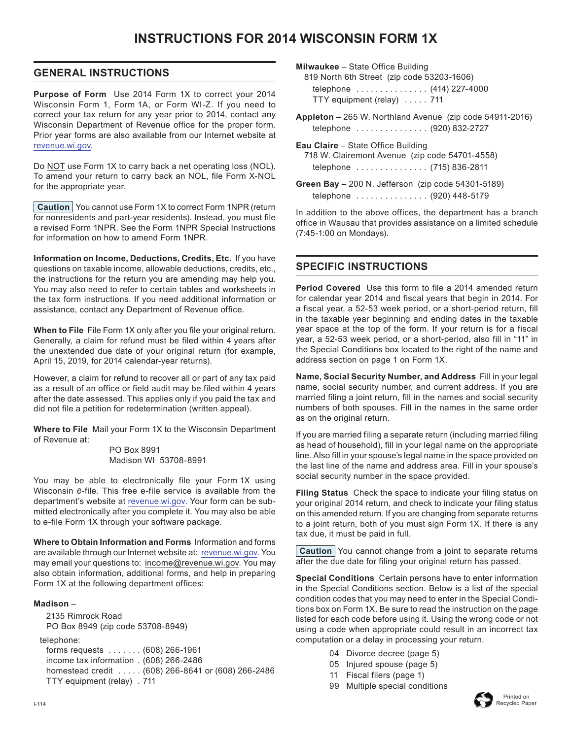# **INSTRUCTIONS FOR 2014 WISCONSIN FORM 1X**

## **GENERAL INSTRUCTIONS**

**Purpose of Form** Use 2014 Form 1X to correct your 2014 Wisconsin Form 1, Form 1A, or Form WI-Z. If you need to correct your tax return for any year prior to 2014, contact any Wisconsin Department of Revenue office for the proper form. Prior year forms are also available from our Internet website at [revenue.wi.gov](http://www.revenue.wi.gov).

Do NOT use Form 1X to carry back a net operating loss (NOL). To amend your return to carry back an NOL, file Form X‑NOL for the appropriate year.

**Caution** You cannot use Form 1X to correct Form 1NPR (return for nonresidents and part-year residents). Instead, you must file a revised Form 1NPR. See the Form 1NPR Special Instructions for information on how to amend Form 1NPR.

**Information on Income, Deductions, Credits, Etc.** If you have questions on taxable income, allowable deductions, credits, etc., the instructions for the return you are amending may help you. You may also need to refer to certain tables and worksheets in the tax form instructions. If you need additional information or assistance, contact any Department of Revenue office.

**When to File** File Form 1X only after you file your original return. Generally, a claim for refund must be filed within 4 years after the unextended due date of your original return (for example, April 15, 2019, for 2014 calendar-year returns).

However, a claim for refund to recover all or part of any tax paid as a result of an office or field audit may be filed within 4 years after the date assessed. This applies only if you paid the tax and did not file a petition for redetermination (written appeal).

**Where to File** Mail your Form 1X to the Wisconsin Department of Revenue at:

> PO Box 8991 Madison WI 53708-8991

You may be able to electronically file your Form 1X using Wisconsin *e*-file. This free e-file service is available from the department's website at [revenue.wi.gov](http://www.revenue.wi.gov). Your form can be submitted electronically after you complete it. You may also be able to e-file Form 1X through your software package.

**Where to Obtain Information and Forms** Information and forms are available through our Internet website at: [revenue.wi.gov](http://www.revenue.wi.gov). You may email your questions to: [income@revenue.wi.gov.](mailto:income%40revenue.wi.gov?subject=Form%201X%20instructions) You may also obtain information, additional forms, and help in preparing Form 1X at the following department offices:

#### **Madison** –

 2135 Rimrock Road PO Box 8949 (zip code 53708-8949)

telephone:

 forms requests . . (608) 266-1961 income tax information . (608) 266-2486 homestead credit . . (608) 266-8641 or (608) 266-2486 TTY equipment (relay) . 711

**Milwaukee** – State Office Building

819 North 6th Street (zip code 53203-1606) telephone  $\ldots \ldots \ldots \ldots (414)$  227-4000 TTY equipment (relay) . . . . . 711

**Appleton** – 265 W. Northland Avenue (zip code 54911-2016) telephone . . . . . . . . . . . . . . (920) 832-2727

**Eau Claire** – State Office Building 718 W. Clairemont Avenue (zip code 54701-4558) telephone .............. (715) 836-2811

**Green Bay** – 200 N. Jefferson (zip code 54301-5189) telephone .............. (920) 448-5179

In addition to the above offices, the department has a branch office in Wausau that provides assistance on a limited schedule (7:45-1:00 on Mondays).

# **SPECIFIC INSTRUCTIONS**

**Period Covered** Use this form to file a 2014 amended return for calendar year 2014 and fiscal years that begin in 2014. For a fiscal year, a 52-53 week period, or a short-period return, fill in the taxable year beginning and ending dates in the taxable year space at the top of the form. If your return is for a fiscal year, a 52-53 week period, or a short-period, also fill in "11" in the Special Conditions box located to the right of the name and address section on page 1 on Form 1X.

**Name, Social Security Number, and Address** Fill in your legal name, social security number, and current address. If you are married filing a joint return, fill in the names and social security numbers of both spouses. Fill in the names in the same order as on the original return.

If you are married filing a separate return (including married filing as head of household), fill in your legal name on the appropriate line. Also fill in your spouse's legal name in the space provided on the last line of the name and address area. Fill in your spouse's social security number in the space provided.

**Filing Status** Check the space to indicate your filing status on your original 2014 return, and check to indicate your filing status on this amended return. If you are changing from separate returns to a joint return, both of you must sign Form 1X. If there is any tax due, it must be paid in full.

**Caution** You cannot change from a joint to separate returns after the due date for filing your original return has passed.

**Special Conditions** Certain persons have to enter information in the Special Conditions section. Below is a list of the special condition codes that you may need to enter in the Special Conditions box on Form 1X. Be sure to read the instruction on the page listed for each code before using it. Using the wrong code or not using a code when appropriate could result in an incorrect tax computation or a delay in processing your return.

- 04 Divorce decree (page 5)
- 05 Injured spouse (page 5)
- 11 Fiscal filers (page 1)
- 99 Multiple special conditions

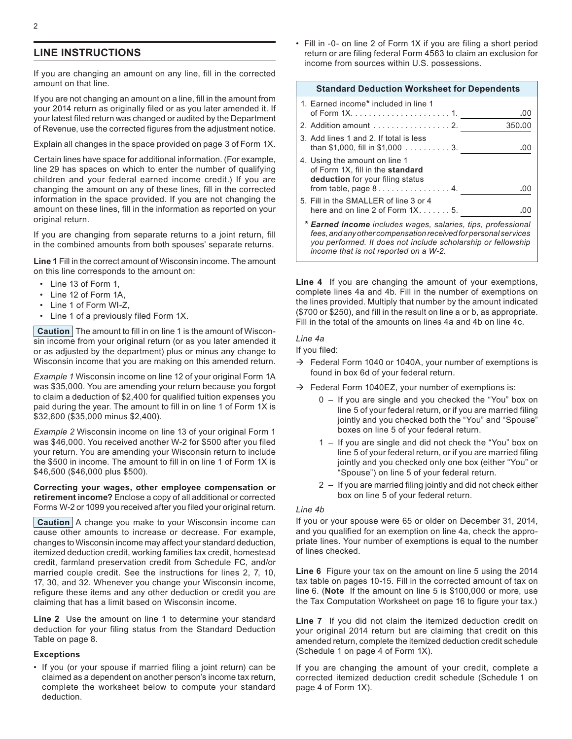## **LINE INSTRUCTIONS**

If you are changing an amount on any line, fill in the corrected amount on that line.

If you are not changing an amount on a line, fill in the amount from your 2014 return as originally filed or as you later amended it. If your latest filed return was changed or audited by the Department of Revenue, use the corrected figures from the adjustment notice.

Explain all changes in the space provided on page 3 of Form 1X.

Certain lines have space for additional information. (For example, line 29 has spaces on which to enter the number of qualifying children and your federal earned income credit.) If you are changing the amount on any of these lines, fill in the corrected information in the space provided. If you are not changing the amount on these lines, fill in the information as reported on your original return.

If you are changing from separate returns to a joint return, fill in the combined amounts from both spouses' separate returns.

**Line 1** Fill in the correct amount of Wisconsin income. The amount on this line corresponds to the amount on:

- Line 13 of Form 1,
- Line 12 of Form 1A,
- Line 1 of Form WI-Z,
- Line 1 of a previously filed Form 1X.

**Caution** The amount to fill in on line 1 is the amount of Wisconsin income from your original return (or as you later amended it or as adjusted by the department) plus or minus any change to Wisconsin income that you are making on this amended return.

*Example 1* Wisconsin income on line 12 of your original Form 1A was \$35,000. You are amending your return because you forgot to claim a deduction of \$2,400 for qualified tuition expenses you paid during the year. The amount to fill in on line 1 of Form 1X is \$32,600 (\$35,000 minus \$2,400).

*Example 2* Wisconsin income on line 13 of your original Form 1 was \$46,000. You received another W-2 for \$500 after you filed your return. You are amending your Wisconsin return to include the \$500 in income. The amount to fill in on line 1 of Form 1X is \$46,500 (\$46,000 plus \$500).

**Correcting your wages, other employee compensation or retirement income?** Enclose a copy of all additional or corrected Forms W-2 or 1099 you received after you filed your original return.

**Caution** A change you make to your Wisconsin income can cause other amounts to increase or decrease. For example, changes to Wisconsin income may affect your standard deduction, itemized deduction credit, working families tax credit, homestead credit, farmland preservation credit from Schedule FC, and/or married couple credit. See the instructions for lines 2, 7, 10, 17, 30, and 32. Whenever you change your Wisconsin income, refigure these items and any other deduction or credit you are claiming that has a limit based on Wisconsin income.

**Line 2** Use the amount on line 1 to determine your standard deduction for your filing status from the Standard Deduction Table on page 8.

#### **Exceptions**

• If you (or your spouse if married filing a joint return) can be claimed as a dependent on another person's income tax return, complete the worksheet below to compute your standard deduction.

• Fill in -0- on line 2 of Form 1X if you are filing a short period return or are filing federal Form 4563 to claim an exclusion for income from sources within U.S. possessions.

| <b>Standard Deduction Worksheet for Dependents</b>                                                                                                                                                                                       |        |
|------------------------------------------------------------------------------------------------------------------------------------------------------------------------------------------------------------------------------------------|--------|
| 1. Earned income* included in line 1                                                                                                                                                                                                     | .00    |
| 2. Addition amount 2.                                                                                                                                                                                                                    | 350.00 |
| 3. Add lines 1 and 2. If total is less<br>than \$1,000, fill in \$1,000 $\ldots \ldots \ldots 3$ .                                                                                                                                       | .00    |
| 4. Using the amount on line 1<br>of Form 1X, fill in the standard<br>deduction for your filing status                                                                                                                                    | .00    |
| 5. Fill in the SMALLER of line 3 or 4<br>here and on line 2 of Form $1X$ 5.                                                                                                                                                              | .00    |
| * Earned income includes wages, salaries, tips, professional<br>fees, and any other compensation received for personal services<br>you performed. It does not include scholarship or fellowship<br>income that is not reported on a W-2. |        |

**Line 4** If you are changing the amount of your exemptions, complete lines 4a and 4b. Fill in the number of exemptions on the lines provided. Multiply that number by the amount indicated (\$700 or \$250), and fill in the result on line a or b, as appropriate. Fill in the total of the amounts on lines 4a and 4b on line 4c.

### *Line 4a*

If you filed:

- $\rightarrow$  Federal Form 1040 or 1040A, your number of exemptions is found in box 6d of your federal return.
- $\rightarrow$  Federal Form 1040EZ, your number of exemptions is:
	- 0 If you are single and you checked the "You" box on line 5 of your federal return, or if you are married filing jointly and you checked both the "You" and "Spouse" boxes on line 5 of your federal return.
	- 1 If you are single and did not check the "You" box on line 5 of your federal return, or if you are married filing jointly and you checked only one box (either "You" or "Spouse") on line 5 of your federal return.
	- 2 If you are married filing jointly and did not check either box on line 5 of your federal return.

#### *Line 4b*

If you or your spouse were 65 or older on December 31, 2014, and you qualified for an exemption on line 4a, check the appropriate lines. Your number of exemptions is equal to the number of lines checked.

**Line 6** Figure your tax on the amount on line 5 using the 2014 tax table on pages 10-15. Fill in the corrected amount of tax on line 6. (**Note** If the amount on line 5 is \$100,000 or more, use the Tax Computation Worksheet on page 16 to figure your tax.)

**Line 7** If you did not claim the itemized deduction credit on your original 2014 return but are claiming that credit on this amended return, complete the itemized deduction credit schedule (Schedule 1 on page 4 of Form 1X).

If you are changing the amount of your credit, complete a corrected itemized deduction credit schedule (Schedule 1 on page 4 of Form 1X).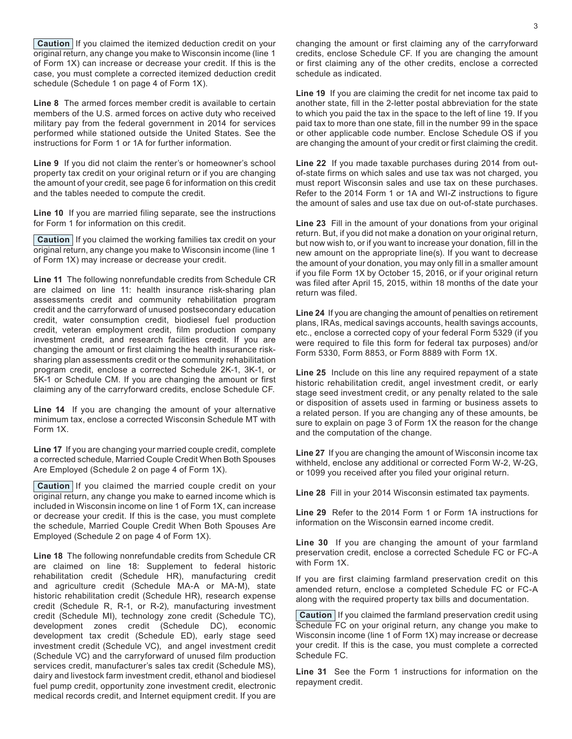**Caution** If you claimed the itemized deduction credit on your original return, any change you make to Wisconsin income (line 1 of Form 1X) can increase or decrease your credit. If this is the case, you must complete a corrected itemized deduction credit schedule (Schedule 1 on page 4 of Form 1X).

**Line 8** The armed forces member credit is available to certain members of the U.S. armed forces on active duty who received military pay from the federal government in 2014 for services performed while stationed outside the United States. See the instructions for Form 1 or 1A for further information.

**Line 9** If you did not claim the renter's or homeowner's school property tax credit on your original return or if you are changing the amount of your credit, see page 6 for information on this credit and the tables needed to compute the credit.

**Line 10** If you are married filing separate, see the instructions for Form 1 for information on this credit.

**Caution** If you claimed the working families tax credit on your original return, any change you make to Wisconsin income (line 1 of Form 1X) may increase or decrease your credit.

**Line 11** The following nonrefundable credits from Schedule CR are claimed on line 11: health insurance risk-sharing plan assessments credit and community rehabilitation program credit and the carryforward of unused postsecondary education credit, water consumption credit, biodiesel fuel production credit, veteran employment credit, film production company investment credit, and research facilities credit. If you are changing the amount or first claiming the health insurance risksharing plan assessments credit or the community rehabilitation program credit, enclose a corrected Schedule 2K-1, 3K-1, or 5K-1 or Schedule CM. If you are changing the amount or first claiming any of the carryforward credits, enclose Schedule CF.

**Line 14** If you are changing the amount of your alternative minimum tax, enclose a corrected Wisconsin Schedule MT with Form 1X.

**Line 17** If you are changing your married couple credit, complete a corrected schedule, Married Couple Credit When Both Spouses Are Employed (Schedule 2 on page 4 of Form 1X).

**Caution** If you claimed the married couple credit on your original return, any change you make to earned income which is included in Wisconsin income on line 1 of Form 1X, can increase or decrease your credit. If this is the case, you must complete the schedule, Married Couple Credit When Both Spouses Are Employed (Schedule 2 on page 4 of Form 1X).

**Line 18** The following nonrefundable credits from Schedule CR are claimed on line 18: Supplement to federal historic rehabilitation credit (Schedule HR), manufacturing credit and agriculture credit (Schedule MA-A or MA-M), state historic rehabilitation credit (Schedule HR), research expense credit (Schedule R, R-1, or R-2), manufacturing investment credit (Schedule MI), technology zone credit (Schedule TC), development zones credit (Schedule DC), economic development tax credit (Schedule ED), early stage seed investment credit (Schedule VC), and angel investment credit (Schedule VC) and the carryforward of unused film production services credit, manufacturer's sales tax credit (Schedule MS), dairy and livestock farm investment credit, ethanol and biodiesel fuel pump credit, opportunity zone investment credit, electronic medical records credit, and Internet equipment credit. If you are changing the amount or first claiming any of the carryforward credits, enclose Schedule CF. If you are changing the amount or first claiming any of the other credits, enclose a corrected schedule as indicated.

**Line 19** If you are claiming the credit for net income tax paid to another state, fill in the 2-letter postal abbreviation for the state to which you paid the tax in the space to the left of line 19. If you paid tax to more than one state, fill in the number 99 in the space or other applicable code number. Enclose Schedule OS if you are changing the amount of your credit or first claiming the credit.

**Line 22** If you made taxable purchases during 2014 from outof-state firms on which sales and use tax was not charged, you must report Wisconsin sales and use tax on these purchases. Refer to the 2014 Form 1 or 1A and WI-Z instructions to figure the amount of sales and use tax due on out-of-state purchases.

**Line 23** Fill in the amount of your donations from your original return. But, if you did not make a donation on your original return, but now wish to, or if you want to increase your donation, fill in the new amount on the appropriate line(s). If you want to decrease the amount of your donation, you may only fill in a smaller amount if you file Form 1X by October 15, 2016, or if your original return was filed after April 15, 2015, within 18 months of the date your return was filed.

**Line 24** If you are changing the amount of penalties on retirement plans, IRAs, medical savings accounts, health savings accounts, etc., enclose a corrected copy of your federal Form 5329 (if you were required to file this form for federal tax purposes) and/or Form 5330, Form 8853, or Form 8889 with Form 1X.

**Line 25** Include on this line any required repayment of a state historic rehabilitation credit, angel investment credit, or early stage seed investment credit, or any penalty related to the sale or disposition of assets used in farming or business assets to a related person. If you are changing any of these amounts, be sure to explain on page 3 of Form 1X the reason for the change and the computation of the change.

**Line 27** If you are changing the amount of Wisconsin income tax withheld, enclose any additional or corrected Form W-2, W-2G, or 1099 you received after you filed your original return.

**Line 28** Fill in your 2014 Wisconsin estimated tax payments.

**Line 29** Refer to the 2014 Form 1 or Form 1A instructions for information on the Wisconsin earned income credit.

**Line 30** If you are changing the amount of your farmland preservation credit, enclose a corrected Schedule FC or FC-A with Form 1X.

If you are first claiming farmland preservation credit on this amended return, enclose a completed Schedule FC or FC-A along with the required property tax bills and documentation.

**Caution** If you claimed the farmland preservation credit using Schedule FC on your original return, any change you make to Wisconsin income (line 1 of Form 1X) may increase or decrease your credit. If this is the case, you must complete a corrected Schedule FC.

**Line 31** See the Form 1 instructions for information on the repayment credit.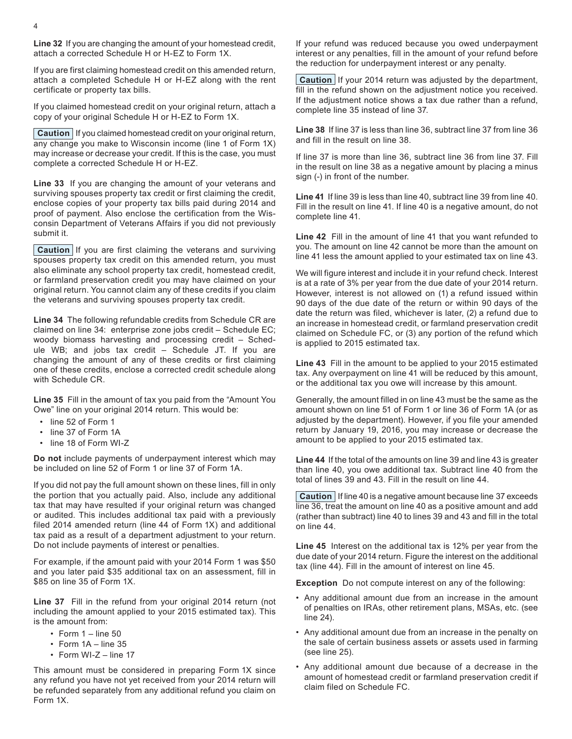If you are first claiming homestead credit on this amended return, attach a completed Schedule H or H-EZ along with the rent certificate or property tax bills.

If you claimed homestead credit on your original return, attach a copy of your original Schedule H or H-EZ to Form 1X.

**Caution** If you claimed homestead credit on your original return, any change you make to Wisconsin income (line 1 of Form 1X) may increase or decrease your credit. If this is the case, you must complete a corrected Schedule H or H-EZ.

**Line 33** If you are changing the amount of your veterans and surviving spouses property tax credit or first claiming the credit, enclose copies of your property tax bills paid during 2014 and proof of payment. Also enclose the certification from the Wisconsin Department of Veterans Affairs if you did not previously submit it.

**Caution** If you are first claiming the veterans and surviving spouses property tax credit on this amended return, you must also eliminate any school property tax credit, homestead credit, or farmland preservation credit you may have claimed on your original return. You cannot claim any of these credits if you claim the veterans and surviving spouses property tax credit.

**Line 34** The following refundable credits from Schedule CR are claimed on line 34: enterprise zone jobs credit – Schedule EC; woody biomass harvesting and processing credit – Schedule WB; and jobs tax credit – Schedule JT. If you are changing the amount of any of these credits or first claiming one of these credits, enclose a corrected credit schedule along with Schedule CR.

**Line 35** Fill in the amount of tax you paid from the "Amount You Owe" line on your original 2014 return. This would be:

- line 52 of Form 1
- line 37 of Form 1A
- line 18 of Form WI-Z

**Do not** include payments of underpayment interest which may be included on line 52 of Form 1 or line 37 of Form 1A.

If you did not pay the full amount shown on these lines, fill in only the portion that you actually paid. Also, include any additional tax that may have resulted if your original return was changed or audited. This includes additional tax paid with a previously filed 2014 amended return (line 44 of Form 1X) and additional tax paid as a result of a department adjustment to your return. Do not include payments of interest or penalties.

For example, if the amount paid with your 2014 Form 1 was \$50 and you later paid \$35 additional tax on an assessment, fill in \$85 on line 35 of Form 1X.

**Line 37** Fill in the refund from your original 2014 return (not including the amount applied to your 2015 estimated tax). This is the amount from:

- Form  $1 -$  line 50
- Form 1A line 35
- Form WI-Z line 17

This amount must be considered in preparing Form 1X since any refund you have not yet received from your 2014 return will be refunded separately from any additional refund you claim on Form 1X.

If your refund was reduced because you owed underpayment interest or any penalties, fill in the amount of your refund before the reduction for underpayment interest or any penalty.

**Caution** If your 2014 return was adjusted by the department, fill in the refund shown on the adjustment notice you received. If the adjustment notice shows a tax due rather than a refund, complete line 35 instead of line 37.

**Line 38** If line 37 is less than line 36, subtract line 37 from line 36 and fill in the result on line 38.

If line 37 is more than line 36, subtract line 36 from line 37. Fill in the result on line 38 as a negative amount by placing a minus sign (-) in front of the number.

**Line 41** If line 39 is less than line 40, subtract line 39 from line 40. Fill in the result on line 41. If line 40 is a negative amount, do not complete line 41.

**Line 42** Fill in the amount of line 41 that you want refunded to you. The amount on line 42 cannot be more than the amount on line 41 less the amount applied to your estimated tax on line 43.

We will figure interest and include it in your refund check. Interest is at a rate of 3% per year from the due date of your 2014 return. However, interest is not allowed on (1) a refund issued within 90 days of the due date of the return or within 90 days of the date the return was filed, whichever is later, (2) a refund due to an increase in homestead credit, or farmland preservation credit claimed on Schedule FC, or (3) any portion of the refund which is applied to 2015 estimated tax.

**Line 43** Fill in the amount to be applied to your 2015 estimated tax. Any overpayment on line 41 will be reduced by this amount, or the additional tax you owe will increase by this amount.

Generally, the amount filled in on line 43 must be the same as the amount shown on line 51 of Form 1 or line 36 of Form 1A (or as adjusted by the department). However, if you file your amended return by January 19, 2016, you may increase or decrease the amount to be applied to your 2015 estimated tax.

**Line 44** If the total of the amounts on line 39 and line 43 is greater than line 40, you owe additional tax. Subtract line 40 from the total of lines 39 and 43. Fill in the result on line 44.

**Caution** If line 40 is a negative amount because line 37 exceeds line 36, treat the amount on line 40 as a positive amount and add (rather than subtract) line 40 to lines 39 and 43 and fill in the total on line 44.

**Line 45** Interest on the additional tax is 12% per year from the due date of your 2014 return. Figure the interest on the additional tax (line 44). Fill in the amount of interest on line 45.

**Exception** Do not compute interest on any of the following:

- Any additional amount due from an increase in the amount of penalties on IRAs, other retirement plans, MSAs, etc. (see line 24).
- Any additional amount due from an increase in the penalty on the sale of certain business assets or assets used in farming (see line 25).
- Any additional amount due because of a decrease in the amount of homestead credit or farmland preservation credit if claim filed on Schedule FC.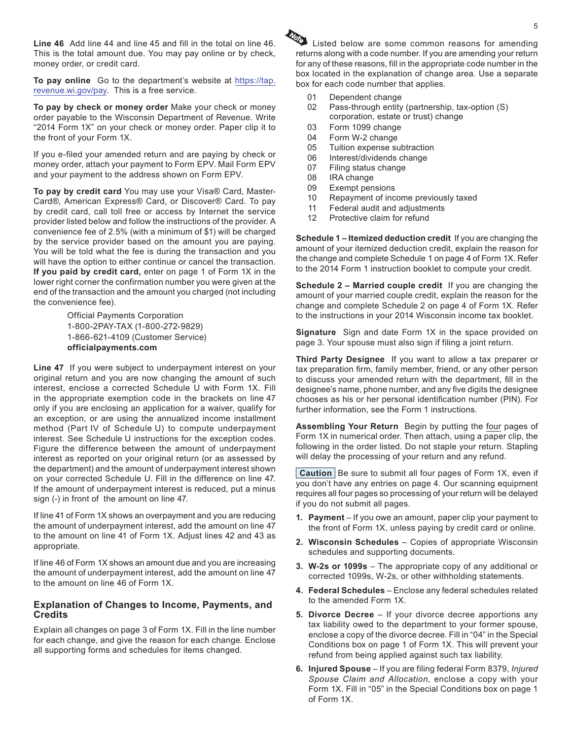**Line 46** Add line 44 and line 45 and fill in the total on line 46. This is the total amount due. You may pay online or by check, money order, or credit card.

**To pay online** Go to the department's website at [https://tap.](https://tap.revenue.wi.gov/pay) [revenue.wi.gov/pay](https://tap.revenue.wi.gov/pay). This is a free service.

**To pay by check or money order** Make your check or money order payable to the Wisconsin Department of Revenue. Write "2014 Form 1X" on your check or money order. Paper clip it to the front of your Form 1X.

If you e-filed your amended return and are paying by check or money order, attach your payment to Form EPV. Mail Form EPV and your payment to the address shown on Form EPV.

**To pay by credit card** You may use your Visa® Card, Master-Card®, American Express® Card, or Discover® Card. To pay by credit card, call toll free or access by Internet the service provider listed below and follow the instructions of the provider. A convenience fee of 2.5% (with a minimum of \$1) will be charged by the service provider based on the amount you are paying. You will be told what the fee is during the transaction and you will have the option to either continue or cancel the transaction. **If you paid by credit card,** enter on page 1 of Form 1X in the lower right corner the confirmation number you were given at the end of the transaction and the amount you charged (not including the convenience fee).

> Official Payments Corporation 1-800-2PAY-TAX (1-800-272-9829) 1-866-621-4109 (Customer Service) **officialpayments.com**

**Line 47** If you were subject to underpayment interest on your original return and you are now changing the amount of such interest, enclose a corrected Schedule U with Form 1X. Fill in the appropriate exemption code in the brackets on line 47 only if you are enclosing an application for a waiver, qualify for an exception, or are using the annualized income installment method (Part IV of Schedule U) to compute underpayment interest. See Schedule U instructions for the exception codes. Figure the difference between the amount of underpayment interest as reported on your original return (or as assessed by the department) and the amount of underpayment interest shown on your corrected Schedule U. Fill in the difference on line 47. If the amount of underpayment interest is reduced, put a minus sign (-) in front of the amount on line 47.

If line 41 of Form 1X shows an overpayment and you are reducing the amount of underpayment interest, add the amount on line 47 to the amount on line 41 of Form 1X. Adjust lines 42 and 43 as appropriate.

If line 46 of Form 1X shows an amount due and you are increasing the amount of underpayment interest, add the amount on line 47 to the amount on line 46 of Form 1X.

#### **Explanation of Changes to Income, Payments, and Credits**

Explain all changes on page 3 of Form 1X. Fill in the line number for each change, and give the reason for each change. Enclose all supporting forms and schedules for items changed.

Listed below are some common reasons for amending returns along with a code number. If you are amending your return for any of these reasons, fill in the appropriate code number in the box located in the explanation of change area. Use a separate box for each code number that applies.

- 01 Dependent change
- 02 Pass-through entity (partnership, tax-option (S) corporation, estate or trust) change
- 03 Form 1099 change
- 04 Form W-2 change
- 05 Tuition expense subtraction
- 06 Interest/dividends change
- 07 Filing status change
- 08 IRA change
- 09 Exempt pensions
- 10 Repayment of income previously taxed
- 11 Federal audit and adjustments
- 12 Protective claim for refund

**Schedule 1 – Itemized deduction credit** If you are changing the amount of your itemized deduction credit, explain the reason for the change and complete Schedule 1 on page 4 of Form 1X. Refer to the 2014 Form 1 instruction booklet to compute your credit.

**Schedule 2 – Married couple credit** If you are changing the amount of your married couple credit, explain the reason for the change and complete Schedule 2 on page 4 of Form 1X. Refer to the instructions in your 2014 Wisconsin income tax booklet.

**Signature** Sign and date Form 1X in the space provided on page 3. Your spouse must also sign if filing a joint return.

**Third Party Designee** If you want to allow a tax preparer or tax preparation firm, family member, friend, or any other person to discuss your amended return with the department, fill in the designee's name, phone number, and any five digits the designee chooses as his or her personal identification number (PIN). For further information, see the Form 1 instructions.

**Assembling Your Return** Begin by putting the four pages of Form 1X in numerical order. Then attach, using a paper clip, the following in the order listed. Do not staple your return. Stapling will delay the processing of your return and any refund.

**Caution** Be sure to submit all four pages of Form 1X, even if you don't have any entries on page 4. Our scanning equipment requires all four pages so processing of your return will be delayed if you do not submit all pages.

- **1. Payment** If you owe an amount, paper clip your payment to the front of Form 1X, unless paying by credit card or online.
- **2. Wisconsin Schedules** Copies of appropriate Wisconsin schedules and supporting documents.
- **3. W‑2s or 1099s** The appropriate copy of any additional or corrected 1099s, W-2s, or other withholding statements.
- **4. Federal Schedules** Enclose any federal schedules related to the amended Form 1X.
- **5. Divorce Decree** If your divorce decree apportions any tax liability owed to the department to your former spouse, enclose a copy of the divorce decree. Fill in "04" in the Special Conditions box on page 1 of Form 1X. This will prevent your refund from being applied against such tax liability.
- **6. Injured Spouse** If you are filing federal Form 8379, *Injured Spouse Claim and Allocation*, enclose a copy with your Form 1X. Fill in "05" in the Special Conditions box on page 1 of Form 1X.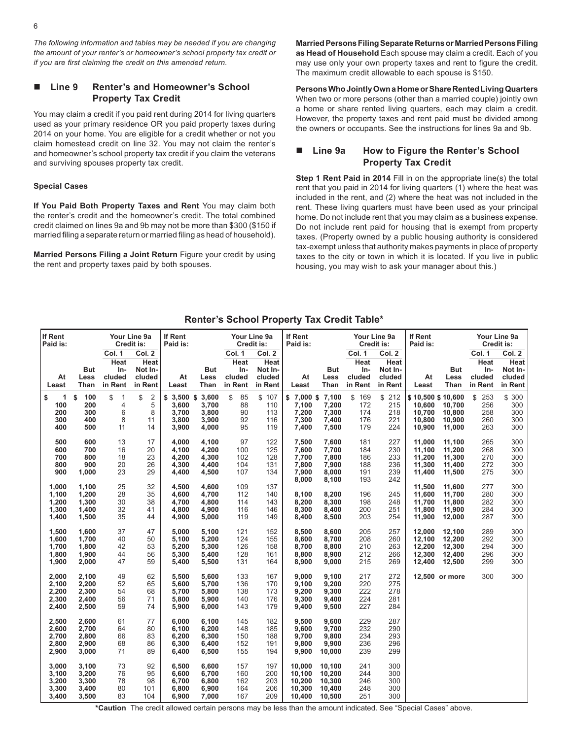*The following information and tables may be needed if you are changing the amount of your renter's or homeowner's school property tax credit or if you are first claiming the credit on this amended return.*

#### n **Line 9 Renter's and Homeowner's School Property Tax Credit**

You may claim a credit if you paid rent during 2014 for living quarters used as your primary residence OR you paid property taxes during 2014 on your home. You are eligible for a credit whether or not you claim homestead credit on line 32. You may not claim the renter's and homeowner's school property tax credit if you claim the veterans and surviving spouses property tax credit.

#### **Special Cases**

**If You Paid Both Property Taxes and Rent** You may claim both the renter's credit and the homeowner's credit. The total combined credit claimed on lines 9a and 9b may not be more than \$300 (\$150 if married filing a separate return or married filing as head of household).

**Married Persons Filing a Joint Return** Figure your credit by using the rent and property taxes paid by both spouses.

**Married Persons Filing Separate Returns or Married Persons Filing as Head of Household** Each spouse may claim a credit. Each of you may use only your own property taxes and rent to figure the credit. The maximum credit allowable to each spouse is \$150.

**Persons Who Jointly Own a Home or Share Rented Living Quarters**  When two or more persons (other than a married couple) jointly own a home or share rented living quarters, each may claim a credit. However, the property taxes and rent paid must be divided among the owners or occupants. See the instructions for lines 9a and 9b.

#### Line 9a How to Figure the Renter's School **Property Tax Credit**

**Step 1 Rent Paid in 2014** Fill in on the appropriate line(s) the total rent that you paid in 2014 for living quarters (1) where the heat was included in the rent, and (2) where the heat was not included in the rent. These living quarters must have been used as your principal home. Do not include rent that you may claim as a business expense. Do not include rent paid for housing that is exempt from property taxes. (Property owned by a public housing authority is considered tax-exempt unless that authority makes payments in place of property taxes to the city or town in which it is located. If you live in public housing, you may wish to ask your manager about this.)

#### **Renter's School Property Tax Credit Table\***

| If Rent<br>Paid is:                            |                                           |                                           | Your Line 9a<br>Credit is:                 | If Rent<br>Paid is:                             |                                           |                                        | Your Line 9a<br>Credit is:                 | If Rent<br>Paid is:                                |                                                | Your Line 9a                           | Credit is:                                 | If Rent<br>Paid is:                                       |                                                |                                        | Your Line 9a<br>Credit is:                 |
|------------------------------------------------|-------------------------------------------|-------------------------------------------|--------------------------------------------|-------------------------------------------------|-------------------------------------------|----------------------------------------|--------------------------------------------|----------------------------------------------------|------------------------------------------------|----------------------------------------|--------------------------------------------|-----------------------------------------------------------|------------------------------------------------|----------------------------------------|--------------------------------------------|
| At                                             | But<br>Less                               | Col. 1<br><b>Heat</b><br>In-<br>cluded    | Col. 2<br><b>Heat</b><br>Not In-<br>cluded | At                                              | <b>But</b><br>Less                        | Col. 1<br><b>Heat</b><br>In-<br>cluded | Col. 2<br><b>Heat</b><br>Not In-<br>cluded | At                                                 | <b>But</b><br>Less                             | Col. 1<br><b>Heat</b><br>In-<br>cluded | Col. 2<br><b>Heat</b><br>Not In-<br>cluded | At                                                        | <b>But</b><br>Less                             | Col. 1<br><b>Heat</b><br>In-<br>cluded | Col. 2<br><b>Heat</b><br>Not In-<br>cluded |
| Least                                          | Than                                      | in Rent                                   | in Rent                                    | Least                                           | Than                                      | in Rent                                | in Rent                                    | Least                                              | Than                                           | in Rent                                | in Rent                                    | Least                                                     | Than                                           | in Rent                                | in Rent                                    |
| \$<br>$\mathbf{1}$<br>100<br>200<br>300<br>400 | 100<br>\$<br>200<br>300<br>400<br>500     | \$<br>$\overline{1}$<br>4<br>6<br>8<br>11 | \$<br>$\sqrt{2}$<br>5<br>8<br>11<br>14     | $$3,500$ \$<br>3,600<br>3,700<br>3,800<br>3,900 | 3,600<br>3,700<br>3,800<br>3,900<br>4,000 | \$<br>85<br>88<br>90<br>92<br>95       | \$107<br>110<br>113<br>116<br>119          | \$7,000\$7,100<br>7,100<br>7,200<br>7,300<br>7,400 | 7,200<br>7,300<br>7,400<br>7,500               | \$169<br>172<br>174<br>176<br>179      | \$212<br>215<br>218<br>221<br>224          | \$10,500 \$10,600<br>10.600<br>10,700<br>10,800<br>10,900 | 10,700<br>10,800<br>10,900<br>11,000           | \$253<br>256<br>258<br>260<br>263      | \$ 300<br>300<br>300<br>300<br>300         |
| 500<br>600<br>700<br>800<br>900                | 600<br>700<br>800<br>900<br>1,000         | 13<br>16<br>18<br>20<br>23                | 17<br>20<br>23<br>26<br>29                 | 4.000<br>4,100<br>4,200<br>4,300<br>4,400       | 4.100<br>4,200<br>4,300<br>4,400<br>4,500 | 97<br>100<br>102<br>104<br>107         | 122<br>125<br>128<br>131<br>134            | 7,500<br>7,600<br>7,700<br>7,800<br>7,900          | 7.600<br>7,700<br>7,800<br>7,900<br>8,000      | 181<br>184<br>186<br>188<br>191<br>193 | 227<br>230<br>233<br>236<br>239<br>242     | 11.000<br>11,100<br>11,200<br>11,300<br>11,400            | 11,100<br>11,200<br>11,300<br>11,400<br>11,500 | 265<br>268<br>270<br>272<br>275        | 300<br>300<br>300<br>300<br>300            |
| 1,000<br>1,100<br>1,200<br>1,300<br>1,400      | 1,100<br>1,200<br>1,300<br>1,400<br>1,500 | 25<br>28<br>30<br>32<br>35                | 32<br>35<br>38<br>41<br>44                 | 4,500<br>4,600<br>4,700<br>4,800<br>4,900       | 4,600<br>4,700<br>4,800<br>4,900<br>5,000 | 109<br>112<br>114<br>116<br>119        | 137<br>140<br>143<br>146<br>149            | 8,000<br>8,100<br>8,200<br>8,300<br>8,400          | 8,100<br>8,200<br>8,300<br>8,400<br>8,500      | 196<br>198<br>200<br>203               | 245<br>248<br>251<br>254                   | 11,500<br>11,600<br>11,700<br>11,800<br>11,900            | 11,600<br>11,700<br>11,800<br>11,900<br>12,000 | 277<br>280<br>282<br>284<br>287        | 300<br>300<br>300<br>300<br>300            |
| 1,500<br>1,600<br>1,700<br>1,800<br>1,900      | 1,600<br>1,700<br>1,800<br>1,900<br>2,000 | 37<br>40<br>42<br>44<br>47                | 47<br>50<br>53<br>56<br>59                 | 5,000<br>5,100<br>5,200<br>5,300<br>5,400       | 5,100<br>5,200<br>5,300<br>5,400<br>5,500 | 121<br>124<br>126<br>128<br>131        | 152<br>155<br>158<br>161<br>164            | 8,500<br>8.600<br>8,700<br>8,800<br>8,900          | 8,600<br>8,700<br>8,800<br>8,900<br>9,000      | 205<br>208<br>210<br>212<br>215        | 257<br>260<br>263<br>266<br>269            | 12,000<br>12,100<br>12,200<br>12,300<br>12,400            | 12,100<br>12,200<br>12,300<br>12,400<br>12,500 | 289<br>292<br>294<br>296<br>299        | 300<br>300<br>300<br>300<br>300            |
| 2,000<br>2,100<br>2,200<br>2,300<br>2,400      | 2,100<br>2,200<br>2,300<br>2,400<br>2,500 | 49<br>52<br>54<br>56<br>59                | 62<br>65<br>68<br>71<br>74                 | 5,500<br>5,600<br>5,700<br>5,800<br>5,900       | 5,600<br>5,700<br>5,800<br>5,900<br>6,000 | 133<br>136<br>138<br>140<br>143        | 167<br>170<br>173<br>176<br>179            | 9,000<br>9,100<br>9,200<br>9,300<br>9,400          | 9,100<br>9,200<br>9,300<br>9,400<br>9,500      | 217<br>220<br>222<br>224<br>227        | 272<br>275<br>278<br>281<br>284            |                                                           | 12.500 or more                                 | 300                                    | 300                                        |
| 2,500<br>2,600<br>2,700<br>2,800<br>2,900      | 2,600<br>2,700<br>2,800<br>2,900<br>3,000 | 61<br>64<br>66<br>68<br>71                | 77<br>80<br>83<br>86<br>89                 | 6,000<br>6,100<br>6,200<br>6,300<br>6,400       | 6,100<br>6,200<br>6,300<br>6,400<br>6,500 | 145<br>148<br>150<br>152<br>155        | 182<br>185<br>188<br>191<br>194            | 9,500<br>9,600<br>9,700<br>9,800<br>9,900          | 9.600<br>9,700<br>9.800<br>9,900<br>10,000     | 229<br>232<br>234<br>236<br>239        | 287<br>290<br>293<br>296<br>299            |                                                           |                                                |                                        |                                            |
| 3,000<br>3,100<br>3,200<br>3,300<br>3,400      | 3,100<br>3,200<br>3,300<br>3,400<br>3,500 | 73<br>76<br>78<br>80<br>83                | 92<br>95<br>98<br>101<br>104               | 6,500<br>6,600<br>6,700<br>6,800<br>6,900       | 6,600<br>6,700<br>6,800<br>6,900<br>7,000 | 157<br>160<br>162<br>164<br>167        | 197<br>200<br>203<br>206<br>209            | 10,000<br>10,100<br>10,200<br>10,300<br>10,400     | 10,100<br>10,200<br>10,300<br>10,400<br>10,500 | 241<br>244<br>246<br>248<br>251        | 300<br>300<br>300<br>300<br>300            |                                                           |                                                |                                        |                                            |

**\*Caution** The credit allowed certain persons may be less than the amount indicated. See "Special Cases" above.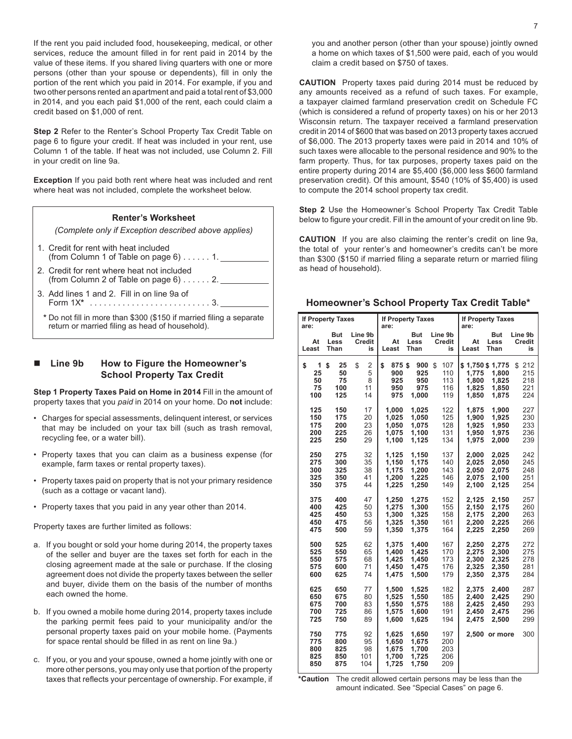If the rent you paid included food, housekeeping, medical, or other services, reduce the amount filled in for rent paid in 2014 by the value of these items. If you shared living quarters with one or more persons (other than your spouse or dependents), fill in only the portion of the rent which you paid in 2014. For example, if you and two other persons rented an apartment and paid a total rent of \$3,000 in 2014, and you each paid \$1,000 of the rent, each could claim a credit based on \$1,000 of rent.

**Step 2** Refer to the Renter's School Property Tax Credit Table on page 6 to figure your credit. If heat was included in your rent, use Column 1 of the table. If heat was not included, use Column 2. Fill in your credit on line 9a.

**Exception** If you paid both rent where heat was included and rent where heat was not included, complete the worksheet below.

# **Renter's Worksheet** *(Complete only if Exception described above applies)*

- 1. Credit for rent with heat included (from Column 1 of Table on page  $6$ )......1.
- 2. Credit for rent where heat not included (from Column 2 of Table on page  $6$ )......2.
- 3. Add lines 1 and 2. Fill in on line 9a of Form 1X**\***. . 3.
- **\*** Do not fill in more than \$300 (\$150 if married filing a separate return or married filing as head of household).

#### n **Line 9b How to Figure the Homeowner's School Property Tax Credit**

**Step 1 Property Taxes Paid on Home in 2014** Fill in the amount of property taxes that you *paid* in 2014 on your home. Do **not** include:

- Charges for special assessments, delinquent interest, or services that may be included on your tax bill (such as trash removal, recycling fee, or a water bill).
- Property taxes that you can claim as a business expense (for example, farm taxes or rental property taxes).
- Property taxes paid on property that is not your primary residence (such as a cottage or vacant land).
- Property taxes that you paid in any year other than 2014.

Property taxes are further limited as follows:

- a. If you bought or sold your home during 2014, the property taxes of the seller and buyer are the taxes set forth for each in the closing agreement made at the sale or purchase. If the closing agreement does not divide the property taxes between the seller and buyer, divide them on the basis of the number of months each owned the home.
- b. If you owned a mobile home during 2014, property taxes include the parking permit fees paid to your municipality and/or the personal property taxes paid on your mobile home. (Payments for space rental should be filled in as rent on line 9a.)
- c. If you, or you and your spouse, owned a home jointly with one or more other persons, you may only use that portion of the property taxes that reflects your percentage of ownership. For example, if

you and another person (other than your spouse) jointly owned a home on which taxes of \$1,500 were paid, each of you would claim a credit based on \$750 of taxes.

**CAUTION** Property taxes paid during 2014 must be reduced by any amounts received as a refund of such taxes. For example, a taxpayer claimed farmland preservation credit on Schedule FC (which is considered a refund of property taxes) on his or her 2013 Wisconsin return. The taxpayer received a farmland preservation credit in 2014 of \$600 that was based on 2013 property taxes accrued of \$6,000. The 2013 property taxes were paid in 2014 and 10% of such taxes were allocable to the personal residence and 90% to the farm property. Thus, for tax purposes, property taxes paid on the entire property during 2014 are \$5,400 (\$6,000 less \$600 farmland preservation credit). Of this amount, \$540 (10% of \$5,400) is used to compute the 2014 school property tax credit.

**Step 2** Use the Homeowner's School Property Tax Credit Table below to figure your credit. Fill in the amount of your credit on line 9b.

**CAUTION** If you are also claiming the renter's credit on line 9a, the total of your renter's and homeowner's credits can't be more than \$300 (\$150 if married filing a separate return or married filing as head of household).

| are:                             | <b>If Property Taxes</b>           |                               | are:                                      | <b>If Property Taxes</b>                  |                                       | are:                                                | <b>If Property Taxes</b>         |                                       |
|----------------------------------|------------------------------------|-------------------------------|-------------------------------------------|-------------------------------------------|---------------------------------------|-----------------------------------------------------|----------------------------------|---------------------------------------|
| At<br>Least                      | But<br>Less<br>Than                | Line 9b<br>Credit<br>is       | At<br>Least                               | But<br>Less<br>Than                       | Line 9b<br>Credit<br>is               | At<br>Least                                         | But<br>Less<br>Than              | Line 9b<br>Credit<br>is               |
| \$<br>1<br>25<br>50<br>75<br>100 | \$<br>25<br>50<br>75<br>100<br>125 | \$<br>2<br>5<br>8<br>11<br>14 | \$<br>875\$<br>900<br>925<br>950<br>975   | 900<br>925<br>950<br>975<br>1,000         | 107<br>\$<br>110<br>113<br>116<br>119 | \$1,750 \$1,775<br>1,775<br>1,800<br>1,825<br>1.850 | 1,800<br>1,825<br>1,850<br>1.875 | 212<br>\$<br>215<br>218<br>221<br>224 |
| 125                              | 150                                | 17                            | 1.000                                     | 1,025                                     | 122                                   | 1.875                                               | 1,900                            | 227                                   |
| 150                              | 175                                | 20                            | 1,025                                     | 1,050                                     | 125                                   | 1,900                                               | 1,925                            | 230                                   |
| 175                              | 200                                | 23                            | 1.050                                     | 1,075                                     | 128                                   | 1,925                                               | 1,950                            | 233                                   |
| 200                              | 225                                | 26                            | 1.075                                     | 1,100                                     | 131                                   | 1,950                                               | 1,975                            | 236                                   |
| 225                              | 250                                | 29                            | 1,100                                     | 1,125                                     | 134                                   | 1,975                                               | 2,000                            | 239                                   |
| 250                              | 275                                | 32                            | 1,125                                     | 1,150                                     | 137                                   | 2,000                                               | 2,025                            | 242                                   |
| 275                              | 300                                | 35                            | 1,150                                     | 1,175                                     | 140                                   | 2,025                                               | 2,050                            | 245                                   |
| 300                              | 325                                | 38                            | 1,175                                     | 1,200                                     | 143                                   | 2,050                                               | 2,075                            | 248                                   |
| 325                              | 350                                | 41                            | 1,200                                     | 1,225                                     | 146                                   | 2,075                                               | 2,100                            | 251                                   |
| 350                              | 375                                | 44                            | 1,225                                     | 1,250                                     | 149                                   | 2,100                                               | 2,125                            | 254                                   |
| 375                              | 400                                | 47                            | 1,250                                     | 1,275                                     | 152                                   | 2,125                                               | 2,150                            | 257                                   |
| 400                              | 425                                | 50                            | 1,275                                     | 1,300                                     | 155                                   | 2,150                                               | 2,175                            | 260                                   |
| 425                              | 450                                | 53                            | 1,300                                     | 1,325                                     | 158                                   | 2,175                                               | 2,200                            | 263                                   |
| 450                              | 475                                | 56                            | 1,325                                     | 1,350                                     | 161                                   | 2,200                                               | 2,225                            | 266                                   |
| 475                              | 500                                | 59                            | 1,350                                     | 1,375                                     | 164                                   | 2,225                                               | 2,250                            | 269                                   |
| 500                              | 525                                | 62                            | 1,375                                     | 1,400                                     | 167                                   | 2,250                                               | 2,275                            | 272                                   |
| 525                              | 550                                | 65                            | 1,400                                     | 1.425                                     | 170                                   | 2,275                                               | 2,300                            | 275                                   |
| 550                              | 575                                | 68                            | 1,425                                     | 1,450                                     | 173                                   | 2,300                                               | 2,325                            | 278                                   |
| 575                              | 600                                | 71                            | 1.450                                     | 1,475                                     | 176                                   | 2,325                                               | 2,350                            | 281                                   |
| 600                              | 625                                | 74                            | 1,475                                     | 1,500                                     | 179                                   | 2,350                                               | 2,375                            | 284                                   |
| 625                              | 650                                | 77                            | 1.500                                     | 1,525                                     | 182                                   | 2,375                                               | 2,400                            | 287                                   |
| 650                              | 675                                | 80                            | 1,525                                     | 1,550                                     | 185                                   | 2,400                                               | 2,425                            | 290                                   |
| 675                              | 700                                | 83                            | 1,550                                     | 1,575                                     | 188                                   | 2,425                                               | 2,450                            | 293                                   |
| 700                              | 725                                | 86                            | 1.575                                     | 1.600                                     | 191                                   | 2.450                                               | 2.475                            | 296                                   |
| 725                              | 750                                | 89                            | 1.600                                     | 1,625                                     | 194                                   | 2.475                                               | 2,500                            | 299                                   |
| 750<br>775<br>800<br>825<br>850  | 775<br>800<br>825<br>850<br>875    | 92<br>95<br>98<br>101<br>104  | 1,625<br>1,650<br>1,675<br>1.700<br>1,725 | 1,650<br>1,675<br>1,700<br>1.725<br>1,750 | 197<br>200<br>203<br>206<br>209       | 2.500                                               | or more                          | 300                                   |

**Homeowner's School Property Tax Credit Table\*** 

**\*Caution** The credit allowed certain persons may be less than the amount indicated. See "Special Cases" on page 6.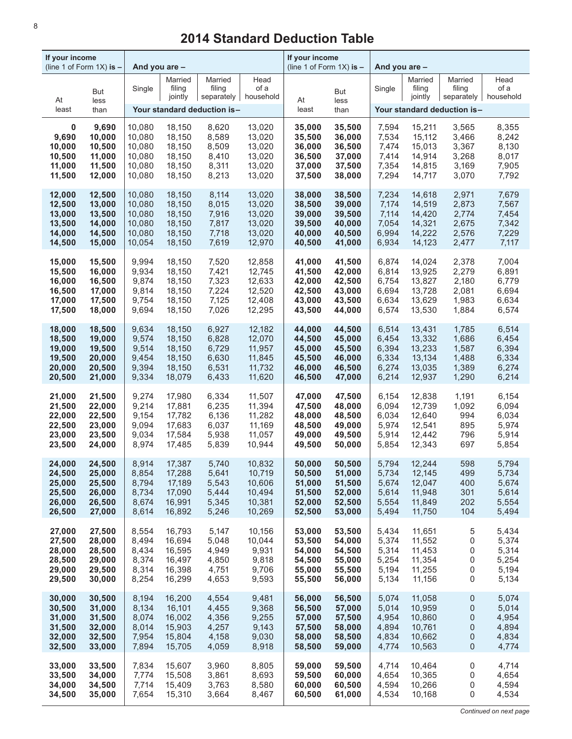| If your income | (line 1 of Form $1X$ ) is $-$ | And you are - |                              |                                             |              | If your income<br>(line 1 of Form $1X$ ) is $-$ |             | And you are - |                              |                                             |              |
|----------------|-------------------------------|---------------|------------------------------|---------------------------------------------|--------------|-------------------------------------------------|-------------|---------------|------------------------------|---------------------------------------------|--------------|
| At             | But<br>less                   | Single        | Married<br>filing<br>jointly | Married<br>filing<br>separately   household | Head<br>of a | At                                              | But<br>less | Single        | Married<br>filing<br>jointly | Married<br>filing<br>separately   household | Head<br>of a |
| least          | than                          |               |                              | Your standard deduction is-                 |              | least                                           | than        |               |                              | Your standard deduction is-                 |              |
| 0              | 9,690                         | 10,080        | 18,150                       | 8,620                                       | 13,020       | 35,000                                          | 35,500      | 7,594         | 15,211                       | 3,565                                       | 8,355        |
| 9,690          | 10,000                        | 10,080        | 18,150                       | 8,589                                       | 13,020       | 35,500                                          | 36,000      | 7,534         | 15,112                       | 3,466                                       | 8,242        |
| 10,000         | 10,500                        | 10,080        | 18,150                       | 8,509                                       | 13,020       | 36,000                                          | 36,500      | 7,474         | 15,013                       | 3,367                                       | 8,130        |
| 10,500         | 11,000                        | 10,080        | 18,150                       | 8,410                                       | 13,020       | 36,500                                          | 37,000      | 7,414         | 14,914                       | 3,268                                       | 8,017        |
| 11,000         | 11,500                        | 10,080        | 18,150                       | 8,311                                       | 13,020       | 37,000                                          | 37,500      | 7,354         | 14,815                       | 3,169                                       | 7,905        |
| 11,500         | 12,000                        | 10,080        | 18,150                       | 8,213                                       | 13,020       | 37,500                                          | 38,000      | 7,294         | 14,717                       | 3,070                                       | 7,792        |
| 12,000         | 12,500                        | 10,080        | 18,150                       | 8,114                                       | 13,020       | 38,000                                          | 38,500      | 7,234         | 14,618                       | 2,971                                       | 7,679        |
| 12,500         | 13,000                        | 10,080        | 18,150                       | 8,015                                       | 13,020       | 38,500                                          | 39,000      | 7,174         | 14,519                       | 2,873                                       | 7,567        |
| 13,000         | 13,500                        | 10,080        | 18,150                       | 7,916                                       | 13,020       | 39,000                                          | 39,500      | 7,114         | 14,420                       | 2,774                                       | 7,454        |
| 13,500         | 14,000                        | 10,080        | 18,150                       | 7,817                                       | 13,020       | 39,500                                          | 40,000      | 7,054         | 14,321                       | 2,675                                       | 7,342        |
| 14,000         | 14,500                        | 10,080        | 18,150                       | 7,718                                       | 13,020       | 40,000                                          | 40,500      | 6,994         | 14,222                       | 2,576                                       | 7,229        |
| 14,500         | 15,000                        | 10,054        | 18,150                       | 7,619                                       | 12,970       | 40,500                                          | 41,000      | 6,934         | 14,123                       | 2,477                                       | 7,117        |
| 15,000         | 15,500                        | 9,994         | 18,150                       | 7,520                                       | 12,858       | 41,000                                          | 41,500      | 6,874         | 14,024                       | 2,378                                       | 7,004        |
| 15,500         | 16,000                        | 9,934         | 18,150                       | 7,421                                       | 12,745       | 41,500                                          | 42,000      | 6,814         | 13,925                       | 2,279                                       | 6,891        |
| 16,000         | 16,500                        | 9,874         | 18,150                       | 7,323                                       | 12,633       | 42,000                                          | 42,500      | 6,754         | 13,827                       | 2,180                                       | 6,779        |
| 16,500         | 17,000                        | 9,814         | 18,150                       | 7,224                                       | 12,520       | 42,500                                          | 43,000      | 6,694         | 13,728                       | 2,081                                       | 6,694        |
| 17,000         | 17,500                        | 9,754         | 18,150                       | 7,125                                       | 12,408       | 43,000                                          | 43,500      | 6,634         | 13,629                       | 1,983                                       | 6,634        |
| 17,500         | 18,000                        | 9,694         | 18,150                       | 7,026                                       | 12,295       | 43,500                                          | 44,000      | 6,574         | 13,530                       | 1,884                                       | 6,574        |
| 18,000         | 18,500                        | 9,634         | 18,150                       | 6,927                                       | 12,182       | 44,000                                          | 44,500      | 6,514         | 13,431                       | 1,785                                       | 6,514        |
| 18,500         | 19,000                        | 9,574         | 18,150                       | 6,828                                       | 12,070       | 44,500                                          | 45,000      | 6,454         | 13,332                       | 1,686                                       | 6,454        |
| 19,000         | 19,500                        | 9,514         | 18,150                       | 6,729                                       | 11,957       | 45,000                                          | 45,500      | 6,394         | 13,233                       | 1,587                                       | 6,394        |
| 19,500         | 20,000                        | 9,454         | 18,150                       | 6,630                                       | 11,845       | 45,500                                          | 46,000      | 6,334         | 13,134                       | 1,488                                       | 6,334        |
| 20,000         | 20,500                        | 9,394         | 18,150                       | 6,531                                       | 11,732       | 46,000                                          | 46,500      | 6,274         | 13,035                       | 1,389                                       | 6,274        |
| 20,500         | 21,000                        | 9,334         | 18,079                       | 6,433                                       | 11,620       | 46,500                                          | 47,000      | 6,214         | 12,937                       | 1,290                                       | 6,214        |
| 21,000         | 21,500                        | 9,274         | 17,980                       | 6,334                                       | 11,507       | 47,000                                          | 47,500      | 6,154         | 12,838                       | 1,191                                       | 6,154        |
| 21,500         | 22,000                        | 9,214         | 17,881                       | 6,235                                       | 11,394       | 47,500                                          | 48,000      | 6,094         | 12,739                       | 1,092                                       | 6,094        |
| 22,000         | 22,500                        | 9,154         | 17,782                       | 6,136                                       | 11,282       | 48,000                                          | 48,500      | 6,034         | 12,640                       | 994                                         | 6,034        |
| 22,500         | 23,000                        | 9,094         | 17,683                       | 6,037                                       | 11,169       | 48,500                                          | 49,000      | 5,974         | 12,541                       | 895                                         | 5,974        |
| 23,000         | 23,500                        | 9,034         | 17,584                       | 5,938                                       | 11,057       | 49,000                                          | 49,500      | 5,914         | 12,442                       | 796                                         | 5,914        |
| 23,500         | 24,000                        | 8,974         | 17,485                       | 5,839                                       | 10,944       | 49,500                                          | 50,000      | 5,854         | 12,343                       | 697                                         | 5,854        |
| 24,000         | 24,500                        | 8.914         | 17,387                       | 5,740                                       | 10,832       | 50,000                                          | 50,500      | 5,794         | 12,244                       | 598                                         | 5,794        |
| 24,500         | 25,000                        | 8,854         | 17,288                       | 5,641                                       | 10,719       | 50,500                                          | 51,000      | 5,734         | 12,145                       | 499                                         | 5,734        |
| 25,000         | 25,500                        | 8,794         | 17,189                       | 5,543                                       | 10,606       | 51,000                                          | 51,500      | 5,674         | 12,047                       | 400                                         | 5,674        |
| 25,500         | 26,000                        | 8,734         | 17,090                       | 5,444                                       | 10,494       | 51,500                                          | 52,000      | 5,614         | 11,948                       | 301                                         | 5,614        |
| 26,000         | 26,500                        | 8,674         | 16,991                       | 5,345                                       | 10,381       | 52,000                                          | 52,500      | 5,554         | 11,849                       | 202                                         | 5,554        |
| 26,500         | 27,000                        | 8,614         | 16,892                       | 5,246                                       | 10,269       | 52,500                                          | 53,000      | 5,494         | 11,750                       | 104                                         | 5,494        |
| 27,000         | 27,500                        | 8,554         | 16,793                       | 5,147                                       | 10,156       | 53,000                                          | 53,500      | 5,434         | 11,651                       | 5                                           | 5,434        |
| 27,500         | 28,000                        | 8,494         | 16,694                       | 5,048                                       | 10,044       | 53,500                                          | 54,000      | 5,374         | 11,552                       | 0                                           | 5,374        |
| 28,000         | 28,500                        | 8,434         | 16,595                       | 4,949                                       | 9,931        | 54,000                                          | 54,500      | 5,314         | 11,453                       | 0                                           | 5,314        |
| 28,500         | 29,000                        | 8,374         | 16,497                       | 4,850                                       | 9,818        | 54,500                                          | 55,000      | 5,254         | 11,354                       | 0                                           | 5,254        |
| 29,000         | 29,500                        | 8,314         | 16,398                       | 4,751                                       | 9,706        | 55,000                                          | 55,500      | 5,194         | 11,255                       | 0                                           | 5,194        |
| 29,500         | 30,000                        | 8,254         | 16,299                       | 4,653                                       | 9,593        | 55,500                                          | 56,000      | 5,134         | 11,156                       | 0                                           | 5,134        |
| 30,000         | 30,500                        | 8,194         | 16,200                       | 4,554                                       | 9,481        | 56,000                                          | 56,500      | 5,074         | 11,058                       | 0                                           | 5,074        |
| 30,500         | 31,000                        | 8,134         | 16,101                       | 4,455                                       | 9,368        | 56,500                                          | 57,000      | 5,014         | 10,959                       | 0                                           | 5,014        |
| 31,000         | 31,500                        | 8,074         | 16,002                       | 4,356                                       | 9,255        | 57,000                                          | 57,500      | 4,954         | 10,860                       | 0                                           | 4,954        |
| 31,500         | 32,000                        | 8,014         | 15,903                       | 4,257                                       | 9,143        | 57,500                                          | 58,000      | 4,894         | 10,761                       | 0                                           | 4,894        |
| 32,000         | 32,500                        | 7,954         | 15,804                       | 4,158                                       | 9,030        | 58,000                                          | 58,500      | 4,834         | 10,662                       | 0                                           | 4,834        |
| 32,500         | 33,000                        | 7,894         | 15,705                       | 4,059                                       | 8,918        | 58,500                                          | 59,000      | 4,774         | 10,563                       | 0                                           | 4,774        |
| 33,000         | 33,500                        | 7,834         | 15,607                       | 3,960                                       | 8,805        | 59,000                                          | 59,500      | 4,714         | 10,464                       | 0                                           | 4,714        |
| 33,500         | 34,000                        | 7,774         | 15,508                       | 3,861                                       | 8,693        | 59,500                                          | 60,000      | 4,654         | 10,365                       | 0                                           | 4,654        |
| 34,000         | 34,500                        | 7,714         | 15,409                       | 3,763                                       | 8,580        | 60,000                                          | 60,500      | 4,594         | 10,266                       | 0                                           | 4,594        |
| 34,500         | 35,000                        | 7,654         | 15,310                       | 3,664                                       | 8,467        | 60,500                                          | 61,000      | 4,534         | 10,168                       | 0                                           | 4,534        |

# **2014 Standard Deduction Table**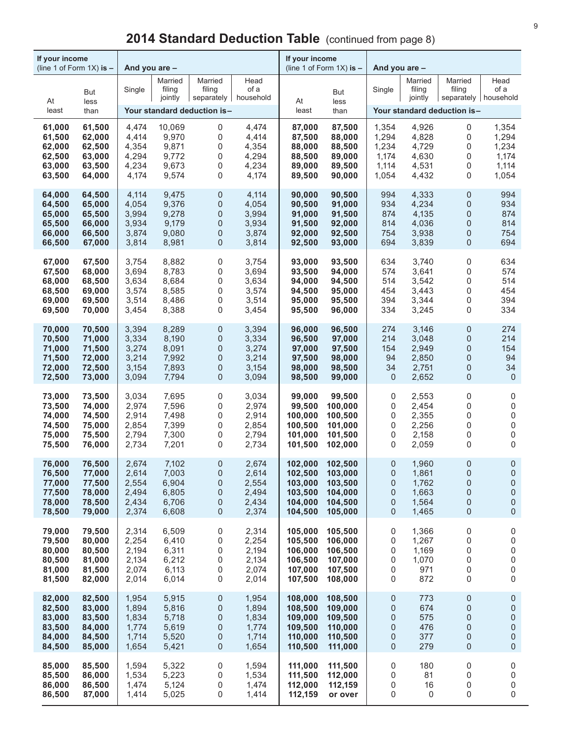| If your income<br>(line 1 of Form $1X$ ) is $-$ |             | And you are - |                              |                             |                                        | If your income | (line 1 of Form $1X$ ) is $-$ | And you are -  |                              |                             |                                        |
|-------------------------------------------------|-------------|---------------|------------------------------|-----------------------------|----------------------------------------|----------------|-------------------------------|----------------|------------------------------|-----------------------------|----------------------------------------|
| At                                              | But<br>less | Single        | Married<br>filing<br>jointly | Married<br>filing           | Head<br>of a<br>separately   household | At             | But<br>less                   | Single         | Married<br>filing<br>jointly | Married<br>filing           | Head<br>of a<br>separately   household |
| least                                           | than        |               |                              | Your standard deduction is- |                                        | least          | than                          |                |                              | Your standard deduction is- |                                        |
| 61,000                                          | 61,500      | 4,474         | 10,069                       | 0                           | 4,474                                  | 87,000         | 87,500                        | 1,354          | 4,926                        | 0                           | 1,354                                  |
| 61,500                                          | 62,000      | 4,414         | 9,970                        | 0                           | 4,414                                  | 87,500         | 88,000                        | 1,294          | 4,828                        | 0                           | 1,294                                  |
| 62,000                                          | 62,500      | 4,354         | 9,871                        | 0                           | 4,354                                  | 88,000         | 88,500                        | 1,234          | 4,729                        | 0                           | 1,234                                  |
| 62,500                                          | 63,000      | 4,294         | 9,772                        | 0                           | 4,294                                  | 88,500         | 89,000                        | 1,174          | 4,630                        | 0                           | 1,174                                  |
| 63,000                                          | 63,500      | 4,234         | 9,673                        | 0                           | 4,234                                  | 89,000         | 89,500                        | 1,114          | 4,531                        | 0                           | 1,114                                  |
| 63,500                                          | 64,000      | 4,174         | 9,574                        | $\mathbf 0$                 | 4,174                                  | 89,500         | 90,000                        | 1,054          | 4,432                        | 0                           | 1,054                                  |
| 64,000                                          | 64,500      | 4,114         | 9,475                        | $\pmb{0}$                   | 4,114                                  | 90,000         | 90,500                        | 994            | 4,333                        | $\pmb{0}$                   | 994                                    |
| 64,500                                          | 65,000      | 4,054         | 9,376                        | 0                           | 4,054                                  | 90,500         | 91,000                        | 934            | 4,234                        | 0                           | 934                                    |
| 65,000                                          | 65,500      | 3,994         | 9,278                        | 0                           | 3,994                                  | 91,000         | 91,500                        | 874            | 4,135                        | $\mathbf 0$                 | 874                                    |
| 65,500                                          | 66,000      | 3,934         | 9,179                        | 0                           | 3,934                                  | 91,500         | 92,000                        | 814            | 4,036                        | 0                           | 814                                    |
| 66,000                                          | 66,500      | 3,874         | 9,080                        | $\pmb{0}$                   | 3,874                                  | 92,000         | 92,500                        | 754            | 3,938                        | 0                           | 754                                    |
| 66,500                                          | 67,000      | 3,814         | 8,981                        | $\mathbf 0$                 | 3,814                                  | 92,500         | 93,000                        | 694            | 3,839                        | 0                           | 694                                    |
| 67,000                                          | 67,500      | 3,754         | 8,882                        | 0                           | 3,754                                  | 93,000         | 93,500                        | 634            | 3,740                        | $\mathsf 0$                 | 634                                    |
| 67,500                                          | 68,000      | 3,694         | 8,783                        | 0                           | 3,694                                  | 93,500         | 94,000                        | 574            | 3,641                        | 0                           | 574                                    |
| 68,000                                          | 68,500      | 3,634         | 8,684                        | 0                           | 3,634                                  | 94,000         | 94,500                        | 514            | 3,542                        | 0                           | 514                                    |
| 68,500                                          | 69,000      | 3,574         | 8,585                        | 0                           | 3,574                                  | 94,500         | 95,000                        | 454            | 3,443                        | 0                           | 454                                    |
| 69,000                                          | 69,500      | 3,514         | 8,486                        | 0                           | 3,514                                  | 95,000         | 95,500                        | 394            | 3,344                        | 0                           | 394                                    |
| 69,500                                          | 70,000      | 3,454         | 8,388                        | $\mathbf 0$                 | 3,454                                  | 95,500         | 96,000                        | 334            | 3,245                        | 0                           | 334                                    |
| 70,000                                          | 70,500      | 3,394         | 8,289                        | $\pmb{0}$                   | 3,394                                  | 96,000         | 96,500                        | 274            | 3,146                        | $\pmb{0}$                   | 274                                    |
| 70,500                                          | 71,000      | 3,334         | 8,190                        | 0                           | 3,334                                  | 96,500         | 97,000                        | 214            | 3,048                        | 0                           | 214                                    |
| 71,000                                          | 71,500      | 3,274         | 8,091                        | 0                           | 3,274                                  | 97,000         | 97,500                        | 154            | 2,949                        | 0                           | 154                                    |
| 71,500                                          | 72,000      | 3,214         | 7,992                        | 0                           | 3,214                                  | 97,500         | 98,000                        | 94             | 2,850                        | 0                           | 94                                     |
| 72,000                                          | 72,500      | 3,154         | 7,893                        | 0                           | 3,154                                  | 98,000         | 98,500                        | 34             | 2,751                        | $\pmb{0}$                   | 34                                     |
| 72,500                                          | 73,000      | 3,094         | 7,794                        | $\mathbf 0$                 | 3,094                                  | 98,500         | 99,000                        | 0              | 2,652                        | $\mathbf 0$                 | $\mathsf 0$                            |
| 73,000                                          | 73,500      | 3,034         | 7,695                        | 0                           | 3,034                                  | 99,000         | 99,500                        | 0              | 2,553                        | 0                           | 0                                      |
| 73,500                                          | 74,000      | 2,974         | 7,596                        | 0                           | 2,974                                  | 99,500         | 100,000                       | 0              | 2,454                        | 0                           | $\mathsf 0$                            |
| 74,000                                          | 74,500      | 2,914         | 7,498                        | 0                           | 2,914                                  | 100,000        | 100,500                       | 0              | 2,355                        | 0                           | $\mathsf 0$                            |
| 74,500                                          | 75,000      | 2,854         | 7,399                        | 0                           | 2,854                                  | 100,500        | 101,000                       | 0              | 2,256                        | 0                           | $\mathsf 0$                            |
| 75,000                                          | 75,500      | 2,794         | 7,300                        | 0                           | 2,794                                  | 101,000        | 101,500                       | 0              | 2,158                        | 0                           | 0                                      |
| 75,500                                          | 76,000      | 2,734         | 7,201                        | 0                           | 2,734                                  | 101,500        | 102,000                       | 0              | 2,059                        | 0                           | 0                                      |
| 76,000                                          | 76,500      | 2,674         | 7,102                        | $\boldsymbol{0}$            | 2.674                                  | 102,000        | 102,500                       | 0              | 1,960                        | 0                           | $\mathbf 0$                            |
| 76,500                                          | 77,000      | 2,614         | 7,003                        | 0                           | 2,614                                  | 102,500        | 103,000                       | $\overline{0}$ | 1,861                        | $\mathsf 0$                 | 0                                      |
| 77,000                                          | 77,500      | 2,554         | 6,904                        | 0                           | 2,554                                  | 103,000        | 103,500                       | 0              | 1,762                        | $\mathbf 0$                 | $\mathbf 0$                            |
| 77,500                                          | 78,000      | 2,494         | 6,805                        | 0                           | 2,494                                  | 103,500        | 104,000                       | 0              | 1,663                        | 0                           | $\mathbf 0$                            |
| 78,000                                          | 78,500      | 2,434         | 6,706                        | 0                           | 2,434                                  | 104,000        | 104,500                       | 0              | 1,564                        | $\mathbf 0$                 | $\mathsf{O}\xspace$                    |
| 78,500                                          | 79,000      | 2,374         | 6,608                        | 0                           | 2,374                                  | 104,500        | 105,000                       | 0              | 1,465                        | 0                           | $\pmb{0}$                              |
| 79,000                                          | 79,500      | 2,314         | 6,509                        | 0                           | 2,314                                  | 105,000        | 105,500                       | 0              | 1,366                        | 0                           | 0                                      |
| 79,500                                          | 80,000      | 2,254         | 6,410                        | 0                           | 2,254                                  | 105,500        | 106,000                       | 0              | 1,267                        | 0                           | $\mathsf 0$                            |
| 80,000                                          | 80,500      | 2,194         | 6,311                        | 0                           | 2,194                                  | 106,000        | 106,500                       | 0              | 1,169                        | 0                           | $\mathsf 0$                            |
| 80,500                                          | 81,000      | 2,134         | 6,212                        | 0                           | 2,134                                  | 106,500        | 107,000                       | 0              | 1,070                        | 0                           | $\mathsf 0$                            |
| 81,000                                          | 81,500      | 2,074         | 6,113                        | 0                           | 2,074                                  | 107,000        | 107,500                       | 0              | 971                          | 0                           | 0                                      |
| 81,500                                          | 82,000      | 2,014         | 6,014                        | $\mathbf 0$                 | 2,014                                  | 107,500        | 108,000                       | 0              | 872                          | 0                           | 0                                      |
| 82,000                                          | 82,500      | 1,954         | 5,915                        | 0                           | 1,954                                  | 108,000        | 108,500                       | 0              | 773                          | $\boldsymbol{0}$            | $\mathbf 0$                            |
| 82,500                                          | 83,000      | 1,894         | 5,816                        | 0                           | 1,894                                  | 108,500        | 109,000                       | 0              | 674                          | 0                           | 0                                      |
| 83,000                                          | 83,500      | 1,834         | 5,718                        | 0                           | 1,834                                  | 109,000        | 109,500                       | 0              | 575                          | 0                           | $\mathsf{O}\xspace$                    |
| 83,500                                          | 84,000      | 1,774         | 5,619                        | 0                           | 1,774                                  | 109,500        | 110,000                       | 0              | 476                          | 0                           | $\mathbf 0$                            |
| 84,000                                          | 84,500      | 1,714         | 5,520                        | 0                           | 1,714                                  | 110,000        | 110,500                       | 0              | 377                          | 0                           | 0                                      |
| 84,500                                          | 85,000      | 1,654         | 5,421                        | 0                           | 1,654                                  | 110,500        | 111,000                       | 0              | 279                          | 0                           | 0                                      |
| 85,000                                          | 85,500      | 1,594         | 5,322                        | 0                           | 1,594                                  | 111,000        | 111,500                       | 0              | 180                          | 0                           | 0                                      |
| 85,500                                          | 86,000      | 1,534         | 5,223                        | 0                           | 1,534                                  | 111,500        | 112,000                       | 0              | 81                           | 0                           | $\mathsf 0$                            |
| 86,000                                          | 86,500      | 1,474         | 5,124                        | 0                           | 1,474                                  | 112,000        | 112,159                       | 0              | 16                           | 0                           | $\mathsf 0$                            |
| 86,500                                          | 87,000      | 1,414         | 5,025                        | 0                           | 1,414                                  | 112,159        | or over                       | 0              | 0                            | 0                           | 0                                      |

# 2014 Standard Deduction Table (continued from page 8)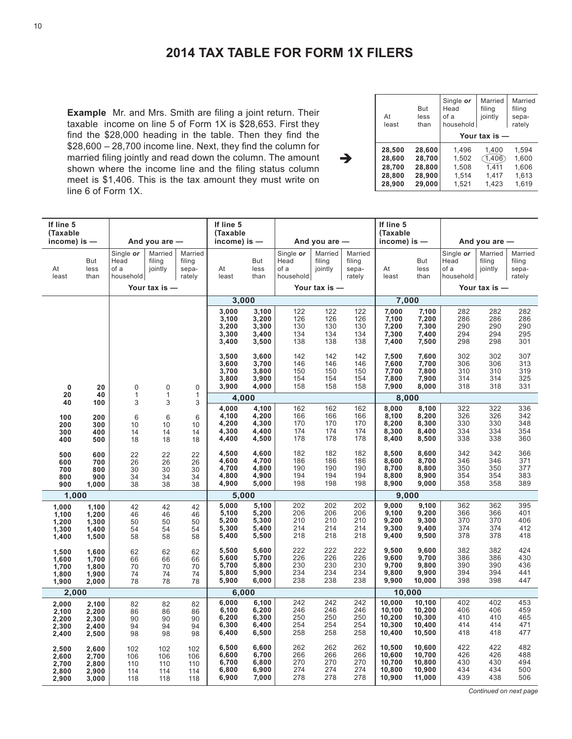# **2014 TAX TABLE FOR FORM 1X FILERS**

è

**Example** Mr. and Mrs. Smith are filing a joint return. Their taxable income on line 5 of Form 1X is \$28,653. First they find the \$28,000 heading in the table. Then they find the \$28,600 – 28,700 income line. Next, they find the column for married filing jointly and read down the column. The amount shown where the income line and the filing status column meet is \$1,406. This is the tax amount they must write on line 6 of Form 1X.

| At<br>least | But<br>less<br>than | Single or<br>Head<br>of a<br>household | Married<br>filing<br>jointly | Married<br>filing<br>sepa-<br>rately |
|-------------|---------------------|----------------------------------------|------------------------------|--------------------------------------|
|             |                     |                                        | Your tax is $-$              |                                      |
| 28.500      | 28.600              | 1.496                                  | 1.400                        | 1.594                                |
| 28.600      | 28,700              | 1,502                                  | (1, 406)                     | 1,600                                |
| 28,700      | 28,800              | 1,508                                  | 1.411                        | 1,606                                |
| 28.800      | 28.900              | 1.514                                  | 1,417                        | 1.613                                |
| 28,900      | 29,000              | 1,521                                  | 1.423                        | 1,619                                |

| If line 5<br>(Taxable                     |                                           |                                        |                                 |                                      | If line 5<br>(Taxable                     |                                           |                                        |                                 |                                      | If line 5<br>(Taxable                          |                                                |                                        |                                 |                                      |
|-------------------------------------------|-------------------------------------------|----------------------------------------|---------------------------------|--------------------------------------|-------------------------------------------|-------------------------------------------|----------------------------------------|---------------------------------|--------------------------------------|------------------------------------------------|------------------------------------------------|----------------------------------------|---------------------------------|--------------------------------------|
| income) is $-$                            |                                           |                                        | And you are -                   |                                      | income) is $-$                            |                                           |                                        | And you are $-$                 |                                      | income) is $-$                                 |                                                |                                        | And you are $-$                 |                                      |
| At<br>least                               | But<br>less<br>than                       | Single or<br>Head<br>of a<br>household | Married<br>filing<br>jointly    | Married<br>filing<br>sepa-<br>rately | At<br>least                               | But<br>less<br>than                       | Single or<br>Head<br>of a<br>household | Married<br>filing<br>jointly    | Married<br>filing<br>sepa-<br>rately | At<br>least                                    | But<br>less<br>than                            | Single or<br>Head<br>of a<br>household | Married<br>filing<br>jointly    | Married<br>filing<br>sepa-<br>rately |
|                                           |                                           |                                        | Your tax is $-$                 |                                      |                                           |                                           |                                        | Your tax is -                   |                                      |                                                |                                                |                                        | Your tax is $-$                 |                                      |
|                                           |                                           |                                        |                                 |                                      |                                           | 3,000                                     |                                        |                                 |                                      |                                                | 7,000                                          |                                        |                                 |                                      |
|                                           |                                           |                                        |                                 |                                      | 3,000<br>3,100<br>3,200<br>3,300<br>3,400 | 3,100<br>3,200<br>3,300<br>3,400<br>3,500 | 122<br>126<br>130<br>134<br>138        | 122<br>126<br>130<br>134<br>138 | 122<br>126<br>130<br>134<br>138      | 7,000<br>7,100<br>7,200<br>7,300<br>7,400      | 7,100<br>7,200<br>7,300<br>7,400<br>7,500      | 282<br>286<br>290<br>294<br>298        | 282<br>286<br>290<br>294<br>298 | 282<br>286<br>290<br>295<br>301      |
| $\mathbf 0$                               | 20                                        | 0                                      | 0<br>$\mathbf{1}$               | $\mathbf 0$                          | 3,500<br>3,600<br>3,700<br>3,800<br>3,900 | 3,600<br>3,700<br>3,800<br>3,900<br>4,000 | 142<br>146<br>150<br>154<br>158        | 142<br>146<br>150<br>154<br>158 | 142<br>146<br>150<br>154<br>158      | 7,500<br>7,600<br>7,700<br>7.800<br>7,900      | 7,600<br>7,700<br>7,800<br>7,900<br>8,000      | 302<br>306<br>310<br>314<br>318        | 302<br>306<br>310<br>314<br>318 | 307<br>313<br>319<br>325<br>331      |
| 20<br>40                                  | 40<br>100                                 | $\mathbf{1}$<br>3                      | 3                               | $\mathbf{1}$<br>3                    |                                           | 4,000                                     |                                        |                                 |                                      |                                                | 8,000                                          |                                        |                                 |                                      |
| 100<br>200<br>300<br>400                  | 200<br>300<br>400<br>500                  | 6<br>10<br>14<br>18                    | 6<br>10<br>14<br>18             | 6<br>10<br>14<br>18                  | 4,000<br>4,100<br>4,200<br>4,300<br>4,400 | 4,100<br>4,200<br>4,300<br>4,400<br>4,500 | 162<br>166<br>170<br>174<br>178        | 162<br>166<br>170<br>174<br>178 | 162<br>166<br>170<br>174<br>178      | 8,000<br>8,100<br>8,200<br>8,300<br>8,400      | 8,100<br>8,200<br>8,300<br>8,400<br>8,500      | 322<br>326<br>330<br>334<br>338        | 322<br>326<br>330<br>334<br>338 | 336<br>342<br>348<br>354<br>360      |
| 500<br>600<br>700<br>800<br>900           | 600<br>700<br>800<br>900<br>1,000         | 22<br>26<br>30<br>34<br>38             | 22<br>26<br>30<br>34<br>38      | 22<br>26<br>30<br>34<br>38           | 4,500<br>4,600<br>4,700<br>4,800<br>4,900 | 4,600<br>4,700<br>4,800<br>4,900<br>5,000 | 182<br>186<br>190<br>194<br>198        | 182<br>186<br>190<br>194<br>198 | 182<br>186<br>190<br>194<br>198      | 8,500<br>8,600<br>8,700<br>8,800<br>8,900      | 8,600<br>8,700<br>8,800<br>8,900<br>9,000      | 342<br>346<br>350<br>354<br>358        | 342<br>346<br>350<br>354<br>358 | 366<br>371<br>377<br>383<br>389      |
| 1,000                                     |                                           |                                        |                                 |                                      |                                           | 5,000                                     |                                        |                                 |                                      |                                                | 9,000                                          |                                        |                                 |                                      |
| 1,000<br>1,100<br>1,200<br>1,300<br>1,400 | 1,100<br>1,200<br>1,300<br>1,400<br>1,500 | 42<br>46<br>50<br>54<br>58             | 42<br>46<br>50<br>54<br>58      | 42<br>46<br>50<br>54<br>58           | 5,000<br>5,100<br>5,200<br>5,300<br>5,400 | 5,100<br>5,200<br>5,300<br>5,400<br>5,500 | 202<br>206<br>210<br>214<br>218        | 202<br>206<br>210<br>214<br>218 | 202<br>206<br>210<br>214<br>218      | 9,000<br>9,100<br>9,200<br>9,300<br>9,400      | 9,100<br>9,200<br>9,300<br>9,400<br>9,500      | 362<br>366<br>370<br>374<br>378        | 362<br>366<br>370<br>374<br>378 | 395<br>401<br>406<br>412<br>418      |
| 1,500<br>1,600<br>1,700<br>1,800<br>1,900 | 1,600<br>1,700<br>1,800<br>1,900<br>2,000 | 62<br>66<br>70<br>74<br>78             | 62<br>66<br>70<br>74<br>78      | 62<br>66<br>70<br>74<br>78           | 5,500<br>5,600<br>5,700<br>5,800<br>5,900 | 5,600<br>5,700<br>5,800<br>5,900<br>6,000 | 222<br>226<br>230<br>234<br>238        | 222<br>226<br>230<br>234<br>238 | 222<br>226<br>230<br>234<br>238      | 9,500<br>9,600<br>9,700<br>9,800<br>9,900      | 9,600<br>9,700<br>9,800<br>9,900<br>10,000     | 382<br>386<br>390<br>394<br>398        | 382<br>386<br>390<br>394<br>398 | 424<br>430<br>436<br>441<br>447      |
| 2,000                                     |                                           |                                        |                                 |                                      |                                           | 6,000                                     |                                        |                                 |                                      |                                                | 10,000                                         |                                        |                                 |                                      |
| 2,000<br>2,100<br>2,200<br>2,300<br>2,400 | 2,100<br>2,200<br>2,300<br>2,400<br>2,500 | 82<br>86<br>90<br>94<br>98             | 82<br>86<br>90<br>94<br>98      | 82<br>86<br>90<br>94<br>98           | 6,000<br>6,100<br>6,200<br>6,300<br>6,400 | 6,100<br>6,200<br>6,300<br>6,400<br>6,500 | 242<br>246<br>250<br>254<br>258        | 242<br>246<br>250<br>254<br>258 | 242<br>246<br>250<br>254<br>258      | 10,000<br>10,100<br>10,200<br>10,300<br>10,400 | 10,100<br>10,200<br>10,300<br>10,400<br>10,500 | 402<br>406<br>410<br>414<br>418        | 402<br>406<br>410<br>414<br>418 | 453<br>459<br>465<br>471<br>477      |
| 2,500<br>2,600<br>2,700<br>2,800<br>2,900 | 2,600<br>2,700<br>2,800<br>2,900<br>3,000 | 102<br>106<br>110<br>114<br>118        | 102<br>106<br>110<br>114<br>118 | 102<br>106<br>110<br>114<br>118      | 6,500<br>6,600<br>6,700<br>6,800<br>6,900 | 6,600<br>6,700<br>6,800<br>6,900<br>7,000 | 262<br>266<br>270<br>274<br>278        | 262<br>266<br>270<br>274<br>278 | 262<br>266<br>270<br>274<br>278      | 10,500<br>10,600<br>10,700<br>10,800<br>10,900 | 10,600<br>10,700<br>10,800<br>10,900<br>11,000 | 422<br>426<br>430<br>434<br>439        | 422<br>426<br>430<br>434<br>438 | 482<br>488<br>494<br>500<br>506      |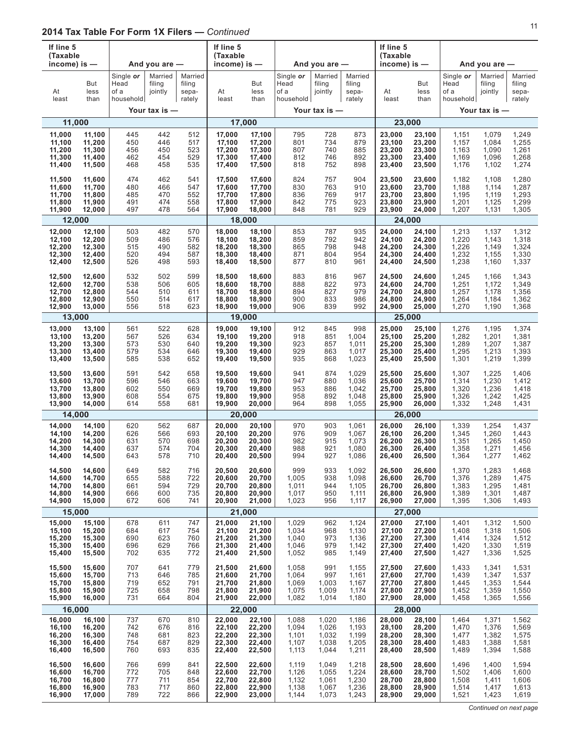| If line 5<br>(Taxable | income) is —        |                                        | And you are $-$              |                                      | If line 5<br>(Taxable<br>income) is $-$ |                     |                                        | And you are -                |                                      | If line 5<br>(Taxable<br>income) is $-$ |                     |                                        | And you are -                |                                      |
|-----------------------|---------------------|----------------------------------------|------------------------------|--------------------------------------|-----------------------------------------|---------------------|----------------------------------------|------------------------------|--------------------------------------|-----------------------------------------|---------------------|----------------------------------------|------------------------------|--------------------------------------|
| At<br>least           | But<br>less<br>than | Single or<br>Head<br>of a<br>household | Married<br>filing<br>jointly | Married<br>filing<br>sepa-<br>rately | At<br>least                             | But<br>less<br>than | Single or<br>Head<br>of a<br>household | Married<br>filing<br>jointly | Married<br>filing<br>sepa-<br>rately | At<br>least                             | But<br>less<br>than | Single or<br>Head<br>of a<br>household | Married<br>filing<br>jointly | Married<br>filing<br>sepa-<br>rately |
|                       |                     |                                        | Your tax is -                |                                      |                                         |                     |                                        | Your tax is -                |                                      |                                         |                     |                                        | Your tax is $-$              |                                      |
|                       | 11,000              |                                        |                              |                                      |                                         | 17,000              |                                        |                              |                                      |                                         | 23,000              |                                        |                              |                                      |
| 11.000                | 11,100              | 445                                    | 442                          | 512                                  | 17,000                                  | 17,100              | 795                                    | 728                          | 873                                  | 23,000                                  | 23,100              | 1,151                                  | 1,079                        | 1,249                                |
| 11,100                | 11,200              | 450                                    | 446                          | 517                                  | 17,100                                  | 17,200              | 801                                    | 734                          | 879                                  | 23,100                                  | 23,200              | 1,157                                  | 1,084                        | 1,255                                |
| 11,200                | 11,300              | 456                                    | 450                          | 523                                  | 17,200                                  | 17,300              | 807                                    | 740                          | 885                                  | 23,200                                  | 23,300              | 1,163                                  | 1,090                        | 1,261                                |
| 11,300                | 11,400              | 462                                    | 454                          | 529                                  | 17,300                                  | 17,400              | 812                                    | 746                          | 892                                  | 23,300                                  | 23,400              | 1,169                                  | 1,096                        | 1,268                                |
| 11,400                | 11,500              | 468                                    | 458                          | 535                                  | 17,400                                  | 17,500              | 818                                    | 752                          | 898                                  | 23,400                                  | 23,500              | 1,176                                  | 1,102                        | 1,274                                |
| 11,500                | 11,600              | 474                                    | 462                          | 541                                  | 17,500                                  | 17,600              | 824                                    | 757                          | 904                                  | 23,500                                  | 23,600              | 1,182                                  | 1,108                        | 1,280                                |
| 11,600                | 11,700              | 480                                    | 466                          | 547                                  | 17,600                                  | 17,700              | 830                                    | 763                          | 910                                  | 23,600                                  | 23,700              | 1,188                                  | 1,114                        | 1,287                                |
| 11,700                | 11,800              | 485                                    | 470                          | 552                                  | 17,700                                  | 17,800              | 836                                    | 769                          | 917                                  | 23,700                                  | 23,800              | 1,195                                  | 1,119                        | 1,293                                |
| 11,800                | 11,900              | 491                                    | 474                          | 558                                  | 17,800                                  | 17,900              | 842                                    | 775                          | 923                                  | 23,800                                  | 23,900              | 1,201                                  | 1,125                        | 1,299                                |
| 11,900                | 12,000              | 497                                    | 478                          | 564                                  | 17,900                                  | 18,000              | 848                                    | 781                          | 929                                  | 23,900                                  | 24,000              | 1,207                                  | 1,131                        | 1,305                                |
|                       | 12,000              |                                        |                              |                                      |                                         | 18,000              |                                        |                              |                                      |                                         | 24,000              |                                        |                              |                                      |
| 12,000                | 12,100              | 503                                    | 482                          | 570                                  | 18,000                                  | 18,100              | 853                                    | 787                          | 935                                  | 24.000                                  | 24,100              | 1,213                                  | 1,137                        | 1,312                                |
| 12,100                | 12,200              | 509                                    | 486                          | 576                                  | 18,100                                  | 18,200              | 859                                    | 792                          | 942                                  | 24,100                                  | 24,200              | 1,220                                  | 1,143                        | 1,318                                |
| 12,200                | 12,300              | 515                                    | 490                          | 582                                  | 18,200                                  | 18,300              | 865                                    | 798                          | 948                                  | 24,200                                  | 24.300              | 1,226                                  | 1,149                        | 1,324                                |
| 12,300                | 12,400              | 520                                    | 494                          | 587                                  | 18,300                                  | 18,400              | 871                                    | 804                          | 954                                  | 24,300                                  | 24,400              | 1,232                                  | 1,155                        | 1,330                                |
| 12,400                | 12,500              | 526                                    | 498                          | 593                                  | 18,400                                  | 18,500              | 877                                    | 810                          | 961                                  | 24,400                                  | 24,500              | 1,238                                  | 1,160                        | 1,337                                |
| 12,500                | 12,600              | 532                                    | 502                          | 599                                  | 18,500                                  | 18,600              | 883                                    | 816                          | 967                                  | 24,500                                  | 24,600              | 1,245                                  | 1,166                        | 1,343                                |
| 12,600                | 12,700              | 538                                    | 506                          | 605                                  | 18,600                                  | 18,700              | 888                                    | 822                          | 973                                  | 24,600                                  | 24,700              | 1,251                                  | 1,172                        | 1,349                                |
| 12,700                | 12,800              | 544                                    | 510                          | 611                                  | 18,700                                  | 18,800              | 894                                    | 827                          | 979                                  | 24,700                                  | 24,800              | 1,257                                  | 1,178                        | 1,356                                |
| 12,800                | 12,900              | 550                                    | 514                          | 617                                  | 18,800                                  | 18,900              | 900                                    | 833                          | 986                                  | 24,800                                  | 24,900              | 1,264                                  | 1,184                        | 1,362                                |
| 12,900                | 13,000              | 556                                    | 518                          | 623                                  | 18,900                                  | 19,000              | 906                                    | 839                          | 992                                  | 24,900                                  | 25,000              | 1,270                                  | 1,190                        | 1,368                                |
|                       | 13,000              |                                        |                              |                                      |                                         | 19,000              |                                        |                              |                                      |                                         | 25,000              |                                        |                              |                                      |
| 13,000                | 13,100              | 561                                    | 522                          | 628                                  | 19,000                                  | 19,100              | 912                                    | 845                          | 998                                  | 25,000                                  | 25,100              | 1,276                                  | 1,195                        | 1,374                                |
| 13,100                | 13,200              | 567                                    | 526                          | 634                                  | 19,100                                  | 19,200              | 918                                    | 851                          | 1,004                                | 25,100                                  | 25,200              | 1,282                                  | 1,201                        | 1,381                                |
| 13,200                | 13,300              | 573                                    | 530                          | 640                                  | 19,200                                  | 19,300              | 923                                    | 857                          | 1,011                                | 25,200                                  | 25,300              | 1,289                                  | 1,207                        | 1,387                                |
| 13,300                | 13,400              | 579                                    | 534                          | 646                                  | 19,300                                  | 19,400              | 929                                    | 863                          | 1,017                                | 25,300                                  | 25,400              | 1,295                                  | 1,213                        | 1,393                                |
| 13,400                | 13,500              | 585                                    | 538                          | 652                                  | 19,400                                  | 19,500              | 935                                    | 868                          | 1,023                                | 25,400                                  | 25,500              | 1,301                                  | 1,219                        | 1,399                                |
| 13,500                | 13,600              | 591                                    | 542                          | 658                                  | 19,500                                  | 19,600              | 941                                    | 874                          | 1,029                                | 25,500                                  | 25,600              | 1,307                                  | 1,225                        | 1,406                                |
| 13,600                | 13,700              | 596                                    | 546                          | 663                                  | 19,600                                  | 19,700              | 947                                    | 880                          | 1,036                                | 25,600                                  | 25,700              | 1,314                                  | 1,230                        | 1,412                                |
| 13,700                | 13,800              | 602                                    | 550                          | 669                                  | 19,700                                  | 19,800              | 953                                    | 886                          | 1,042                                | 25,700                                  | 25,800              | 1,320                                  | 1,236                        | 1,418                                |
| 13,800                | 13,900              | 608                                    | 554                          | 675                                  | 19,800                                  | 19,900              | 958                                    | 892                          | 1,048                                | 25,800                                  | 25,900              | 1,326                                  | 1,242                        | 1,425                                |
| 13,900                | 14,000              | 614                                    | 558                          | 681                                  | 19,900                                  | 20,000              | 964                                    | 898                          | 1,055                                | 25,900                                  | 26,000              | 1,332                                  | 1,248                        | 1,431                                |
|                       | 14,000              |                                        |                              |                                      |                                         | 20,000              |                                        |                              |                                      |                                         | 26,000              |                                        |                              |                                      |
| 14,000                | 14,100              | 620                                    | 562                          | 687                                  | 20,000                                  | 20,100              | 970                                    | 903                          | 1,061                                | 26,000                                  | 26,100              | 1,339                                  | 1,254                        | 1,437                                |
| 14,100                | 14,200              | 626                                    | 566                          | 693                                  | 20,100                                  | 20,200              | 976                                    | 909                          | 1,067                                | 26,100                                  | 26,200              | 1,345                                  | 1,260                        | 1,443                                |
| 14,200                | 14,300              | 631                                    | 570                          | 698                                  | 20,200                                  | 20,300              | 982                                    | 915                          | 1,073                                | 26,200                                  | 26,300              | 1,351                                  | 1,265                        | 1,450                                |
| 14,300                | 14,400              | 637                                    | 574                          | 704                                  | 20,300                                  | 20,400              | 988                                    | 921                          | 1,080                                | 26,300                                  | 26,400              | 1,358                                  | 1,271                        | 1,456                                |
| 14,400                | 14,500              | 643                                    | 578                          | 710                                  | 20,400                                  | 20,500              | 994                                    | 927                          | 1,086                                | 26,400                                  | 26,500              | 1,364                                  | 1,277                        | 1,462                                |
| 14,500                | 14,600              | 649                                    | 582                          | 716                                  | 20,500                                  | 20,600              | 999                                    | 933                          | 1,092                                | 26,500                                  | 26,600              | 1,370                                  | 1,283                        | 1,468                                |
| 14,600                | 14,700              | 655                                    | 588                          | 722                                  | 20,600                                  | 20,700              | 1,005                                  | 938                          | 1,098                                | 26,600                                  | 26,700              | 1,376                                  | 1,289                        | 1,475                                |
| 14,700                | 14,800              | 661                                    | 594                          | 729                                  | 20,700                                  | 20,800              | 1,011                                  | 944                          | 1,105                                | 26,700                                  | 26,800              | 1,383                                  | 1,295                        | 1,481                                |
| 14,800                | 14,900              | 666                                    | 600                          | 735                                  | 20,800                                  | 20,900              | 1,017                                  | 950                          | 1,111                                | 26,800                                  | 26,900              | 1,389                                  | 1,301                        | 1,487                                |
| 14,900                | 15,000              | 672                                    | 606                          | 741                                  | 20,900                                  | 21,000              | 1,023                                  | 956                          | 1,117                                | 26,900                                  | 27,000              | 1,395                                  | 1,306                        | 1,493                                |
|                       | 15,000              |                                        |                              |                                      | 21,000                                  |                     |                                        |                              |                                      |                                         | 27,000              |                                        |                              |                                      |
| 15,000                | 15,100              | 678                                    | 611                          | 747                                  | 21,000                                  | 21,100              | 1,029                                  | 962                          | 1,124                                | 27,000                                  | 27,100              | 1,401                                  | 1,312                        | 1,500                                |
| 15,100                | 15,200              | 684                                    | 617                          | 754                                  | 21,100                                  | 21,200              | 1,034                                  | 968                          | 1,130                                | 27,100                                  | 27,200              | 1,408                                  | 1,318                        | 1,506                                |
| 15,200                | 15,300              | 690                                    | 623                          | 760                                  | 21,200                                  | 21,300              | 1,040                                  | 973                          | 1,136                                | 27,200                                  | 27,300              | 1,414                                  | 1,324                        | 1,512                                |
| 15,300                | 15,400              | 696                                    | 629                          | 766                                  | 21,300                                  | 21,400              | 1,046                                  | 979                          | 1,142                                | 27,300                                  | 27,400              | 1,420                                  | 1,330                        | 1,519                                |
| 15,400                | 15,500              | 702                                    | 635                          | 772                                  | 21,400                                  | 21,500              | 1,052                                  | 985                          | 1,149                                | 27,400                                  | 27,500              | 1,427                                  | 1,336                        | 1,525                                |
| 15,500                | 15,600              | 707                                    | 641                          | 779                                  | 21,500                                  | 21,600              | 1,058                                  | 991                          | 1,155                                | 27,500                                  | 27,600              | 1,433                                  | 1,341                        | 1,531                                |
| 15,600                | 15,700              | 713                                    | 646                          | 785                                  | 21,600                                  | 21,700              | 1,064                                  | 997                          | 1,161                                | 27,600                                  | 27,700              | 1,439                                  | 1,347                        | 1,537                                |
| 15,700                | 15,800              | 719                                    | 652                          | 791                                  | 21,700                                  | 21,800              | 1,069                                  | 1,003                        | 1,167                                | 27,700                                  | 27,800              | 1,445                                  | 1,353                        | 1,544                                |
| 15,800                | 15,900              | 725                                    | 658                          | 798                                  | 21,800                                  | 21,900              | 1,075                                  | 1,009                        | 1,174                                | 27,800                                  | 27,900              | 1,452                                  | 1,359                        | 1,550                                |
| 15,900                | 16,000              | 731                                    | 664                          | 804                                  | 21,900                                  | 22,000              | 1,082                                  | 1,014                        | 1,180                                | 27,900                                  | 28,000              | 1,458                                  | 1,365                        | 1,556                                |
|                       | 16,000              |                                        |                              |                                      |                                         | 22,000              |                                        |                              |                                      |                                         | 28,000              |                                        |                              |                                      |
| 16,000                | 16,100              | 737                                    | 670                          | 810                                  | 22,000                                  | 22,100              | 1,088                                  | 1,020                        | 1,186                                | 28,000                                  | 28,100              | 1,464                                  | 1,371                        | 1,562                                |
| 16,100                | 16,200              | 742                                    | 676                          | 816                                  | 22,100                                  | 22,200              | 1,094                                  | 1,026                        | 1,193                                | 28,100                                  | 28,200              | 1,470                                  | 1,376                        | 1,569                                |
| 16,200                | 16,300              | 748                                    | 681                          | 823                                  | 22,200                                  | 22,300              | 1,101                                  | 1,032                        | 1,199                                | 28,200                                  | 28,300              | 1,477                                  | 1,382                        | 1,575                                |
| 16,300                | 16,400              | 754                                    | 687                          | 829                                  | 22,300                                  | 22,400              | 1,107                                  | 1,038                        | 1,205                                | 28,300                                  | 28,400              | 1,483                                  | 1,388                        | 1,581                                |
| 16,400                | 16,500              | 760                                    | 693                          | 835                                  | 22,400                                  | 22,500              | 1,113                                  | 1,044                        | 1,211                                | 28,400                                  | 28,500              | 1,489                                  | 1,394                        | 1,588                                |
| 16,500                | 16,600              | 766                                    | 699                          | 841                                  | 22,500                                  | 22,600              | 1,119                                  | 1,049                        | 1,218                                | 28,500                                  | 28,600              | 1,496                                  | 1,400                        | 1,594                                |
| 16,600                | 16,700              | 772                                    | 705                          | 848                                  | 22,600                                  | 22,700              | 1,126                                  | 1,055                        | 1,224                                | 28,600                                  | 28,700              | 1,502                                  | 1,406                        | 1,600                                |
| 16,700                | 16,800              | 777                                    | 711                          | 854                                  | 22,700                                  | 22,800              | 1,132                                  | 1,061                        | 1,230                                | 28,700                                  | 28,800              | 1,508                                  | 1,411                        | 1,606                                |
| 16,800                | 16,900              | 783                                    | 717                          | 860                                  | 22,800                                  | 22,900              | 1,138                                  | 1,067                        | 1,236                                | 28,800                                  | 28,900              | 1,514                                  | 1,417                        | 1,613                                |
| 16,900                | 17,000              | 789                                    | 722                          | 866                                  | 22,900                                  | 23,000              | 1,144                                  | 1,073                        | 1,243                                | 28,900                                  | 29,000              | 1,521                                  | 1,423                        | 1,619                                |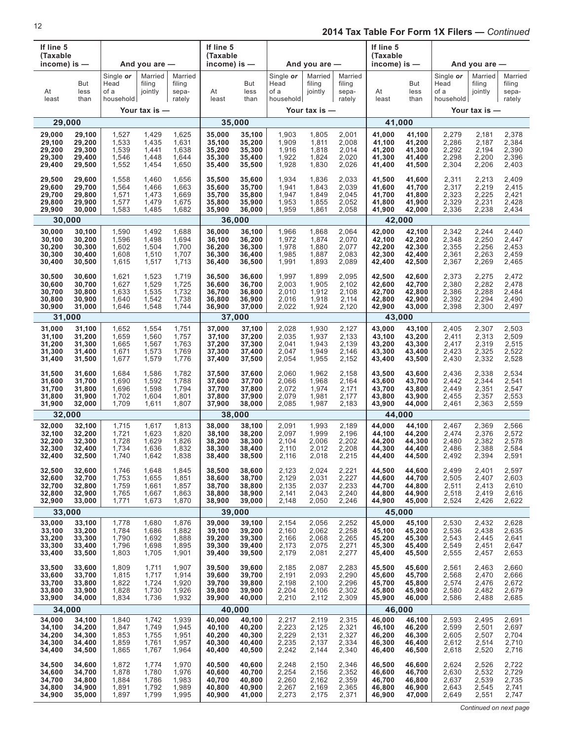| If line 5<br>(Taxable<br>income) is $-$ |                     |                                        | And you are $-$              |                                      | If line 5<br>(Taxable<br>income) is $-$ |                     |                                        | And you are -                |                                      | If line 5<br>(Taxable<br>income) is $-$ |                     |                                        | And you are $-$              |                                      |
|-----------------------------------------|---------------------|----------------------------------------|------------------------------|--------------------------------------|-----------------------------------------|---------------------|----------------------------------------|------------------------------|--------------------------------------|-----------------------------------------|---------------------|----------------------------------------|------------------------------|--------------------------------------|
| At<br>least                             | But<br>less<br>than | Single or<br>Head<br>of a<br>household | Married<br>filing<br>jointly | Married<br>filing<br>sepa-<br>rately | At<br>least                             | But<br>less<br>than | Single or<br>Head<br>of a<br>household | Married<br>filing<br>jointly | Married<br>filing<br>sepa-<br>rately | At<br>least                             | But<br>less<br>than | Single or<br>Head<br>of a<br>household | Married<br>filing<br>jointly | Married<br>filing<br>sepa-<br>rately |
|                                         |                     |                                        | Your tax is -                |                                      |                                         |                     |                                        | Your tax is -                |                                      |                                         |                     |                                        | Your tax is —                |                                      |
| 29,000                                  |                     |                                        |                              |                                      |                                         | 35,000              |                                        |                              |                                      |                                         | 41,000              |                                        |                              |                                      |
| 29,000                                  | 29,100              | 1,527                                  | 1,429                        | 1,625                                | 35,000                                  | 35,100              | 1,903                                  | 1,805                        | 2,001                                | 41,000                                  | 41,100              | 2,279                                  | 2,181                        | 2,378                                |
| 29,100                                  | 29,200              | 1,533                                  | 1,435                        | 1,631                                | 35,100                                  | 35,200              | 1,909                                  | 1,811                        | 2,008                                | 41,100                                  | 41,200              | 2,286                                  | 2,187                        | 2,384                                |
| 29,200                                  | 29,300              | 1,539                                  | 1,441                        | 1,638                                | 35,200                                  | 35,300              | 1,916                                  | 1,818                        | 2,014                                | 41,200                                  | 41,300              | 2,292                                  | 2,194                        | 2,390                                |
| 29,300                                  | 29,400              | 1,546                                  | 1,448                        | 1,644                                | 35,300                                  | 35,400              | 1,922                                  | 1,824                        | 2,020                                | 41,300                                  | 41,400              | 2,298                                  | 2,200                        | 2,396                                |
| 29,400                                  | 29,500              | 1,552                                  | 1,454                        | 1,650                                | 35,400                                  | 35,500              | 1,928                                  | 1,830                        | 2,026                                | 41,400                                  | 41,500              | 2,304                                  | 2,206                        | 2,403                                |
| 29,500                                  | 29,600              | 1,558                                  | 1,460                        | 1,656                                | 35,500                                  | 35,600              | 1,934                                  | 1,836                        | 2,033                                | 41,500                                  | 41,600              | 2,311                                  | 2,213                        | 2,409                                |
| 29,600                                  | 29,700              | 1,564                                  | 1,466                        | 1,663                                | 35,600                                  | 35,700              | 1,941                                  | 1,843                        | 2,039                                | 41,600                                  | 41,700              | 2,317                                  | 2,219                        | 2,415                                |
| 29,700                                  | 29,800              | 1,571                                  | 1,473                        | 1,669                                | 35,700                                  | 35,800              | 1,947                                  | 1,849                        | 2,045                                | 41,700                                  | 41,800              | 2,323                                  | 2,225                        | 2,421                                |
| 29,800                                  | 29,900              | 1,577                                  | 1,479                        | 1,675                                | 35,800                                  | 35,900              | 1,953                                  | 1,855                        | 2,052                                | 41,800                                  | 41,900              | 2,329                                  | 2,231                        | 2,428                                |
| 29,900                                  | 30,000              | 1,583                                  | 1,485                        | 1,682                                | 35,900                                  | 36,000              | 1,959                                  | 1,861                        | 2,058                                | 41,900                                  | 42,000              | 2,336                                  | 2,238                        | 2,434                                |
| 30,000                                  |                     |                                        |                              |                                      |                                         | 36,000              |                                        |                              |                                      |                                         | 42,000              |                                        |                              |                                      |
| 30,000                                  | 30,100              | 1,590                                  | 1,492                        | 1,688                                | 36,000                                  | 36,100              | 1,966                                  | 1,868                        | 2,064                                | 42,000                                  | 42,100              | 2,342                                  | 2,244                        | 2,440                                |
| 30,100                                  | 30,200              | 1,596                                  | 1,498                        | 1,694                                | 36,100                                  | 36,200              | 1,972                                  | 1,874                        | 2,070                                | 42,100                                  | 42,200              | 2,348                                  | 2,250                        | 2,447                                |
| 30,200                                  | 30,300              | 1,602                                  | 1,504                        | 1,700                                | 36,200                                  | 36,300              | 1,978                                  | 1,880                        | 2,077                                | 42,200                                  | 42,300              | 2,355                                  | 2,256                        | 2,453                                |
| 30,300                                  | 30,400              | 1,608                                  | 1,510                        | 1,707                                | 36,300                                  | 36,400              | 1,985                                  | 1,887                        | 2,083                                | 42,300                                  | 42,400              | 2,361                                  | 2,263                        | 2,459                                |
| 30,400                                  | 30,500              | 1,615                                  | 1,517                        | 1,713                                | 36,400                                  | 36,500              | 1,991                                  | 1,893                        | 2,089                                | 42,400                                  | 42,500              | 2,367                                  | 2,269                        | 2,465                                |
| 30,500                                  | 30,600              | 1,621                                  | 1,523                        | 1,719                                | 36,500                                  | 36,600              | 1,997                                  | 1,899                        | 2,095                                | 42,500                                  | 42,600              | 2,373                                  | 2,275                        | 2,472                                |
| 30,600                                  | 30,700              | 1,627                                  | 1,529                        | 1,725                                | 36,600                                  | 36,700              | 2,003                                  | 1,905                        | 2,102                                | 42,600                                  | 42,700              | 2,380                                  | 2,282                        | 2,478                                |
| 30.700                                  | 30,800              | 1,633                                  | 1,535                        | 1,732                                | 36,700                                  | 36,800              | 2,010                                  | 1,912                        | 2,108                                | 42,700                                  | 42,800              | 2,386                                  | 2,288                        | 2,484                                |
| 30,800                                  | 30,900              | 1,640                                  | 1,542                        | 1,738                                | 36,800                                  | 36,900              | 2,016                                  | 1,918                        | 2,114                                | 42,800                                  | 42,900              | 2,392                                  | 2,294                        | 2,490                                |
| 30,900                                  | 31,000              | 1,646                                  | 1,548                        | 1,744                                | 36,900                                  | 37,000              | 2,022                                  | 1,924                        | 2,120                                | 42,900                                  | 43,000              | 2,398                                  | 2,300                        | 2,497                                |
| 31,000                                  |                     |                                        |                              |                                      |                                         | 37,000              |                                        |                              |                                      |                                         | 43,000              |                                        |                              |                                      |
| 31,000                                  | 31,100              | 1,652                                  | 1,554                        | 1,751                                | 37,000                                  | 37,100              | 2,028                                  | 1,930                        | 2,127                                | 43,000                                  | 43,100              | 2,405                                  | 2,307                        | 2,503                                |
| 31,100                                  | 31,200              | 1,659                                  | 1,560                        | 1,757                                | 37,100                                  | 37,200              | 2,035                                  | 1,937                        | 2,133                                | 43,100                                  | 43,200              | 2,411                                  | 2,313                        | 2,509                                |
| 31,200                                  | 31,300              | 1,665                                  | 1,567                        | 1,763                                | 37,200                                  | 37,300              | 2,041                                  | 1,943                        | 2,139                                | 43,200                                  | 43,300              | 2,417                                  | 2,319                        | 2,515                                |
| 31,300                                  | 31,400              | 1,671                                  | 1,573                        | 1,769                                | 37,300                                  | 37,400              | 2,047                                  | 1,949                        | 2,146                                | 43,300                                  | 43,400              | 2,423                                  | 2,325                        | 2,522                                |
| 31,400                                  | 31,500              | 1,677                                  | 1,579                        | 1,776                                | 37,400                                  | 37,500              | 2,054                                  | 1,955                        | 2,152                                | 43,400                                  | 43,500              | 2,430                                  | 2,332                        | 2,528                                |
| 31,500                                  | 31,600              | 1,684                                  | 1,586                        | 1,782                                | 37,500                                  | 37,600              | 2,060                                  | 1,962                        | 2,158                                | 43,500                                  | 43,600              | 2,436                                  | 2,338                        | 2,534                                |
| 31,600                                  | 31,700              | 1,690                                  | 1,592                        | 1,788                                | 37,600                                  | 37,700              | 2,066                                  | 1,968                        | 2,164                                | 43,600                                  | 43,700              | 2,442                                  | 2,344                        | 2,541                                |
| 31,700                                  | 31,800              | 1,696                                  | 1,598                        | 1,794                                | 37,700                                  | 37,800              | 2,072                                  | 1,974                        | 2,171                                | 43,700                                  | 43,800              | 2,449                                  | 2,351                        | 2,547                                |
| 31,800                                  | 31,900              | 1,702                                  | 1,604                        | 1,801                                | 37,800                                  | 37,900              | 2,079                                  | 1,981                        | 2,177                                | 43,800                                  | 43,900              | 2,455                                  | 2,357                        | 2,553                                |
| 31,900                                  | 32,000              | 1,709                                  | 1,611                        | 1,807                                | 37,900                                  | 38,000              | 2,085                                  | 1,987                        | 2,183                                | 43,900                                  | 44,000              | 2,461                                  | 2,363                        | 2,559                                |
| 32,000                                  |                     |                                        |                              |                                      |                                         | 38,000              |                                        |                              |                                      |                                         | 44,000              |                                        |                              |                                      |
| 32,000                                  | 32,100              | 1,715                                  | 1,617                        | 1,813                                | 38,000                                  | 38,100              | 2,091                                  | 1,993                        | 2,189                                | 44,000                                  | 44,100              | 2,467                                  | 2.369                        | 2,566                                |
| 32,100                                  | 32,200              | 1,721                                  | 1,623                        | 1,820                                | 38,100                                  | 38,200              | 2,097                                  | 1,999                        | 2,196                                | 44,100                                  | 44,200              | 2,474                                  | 2,376                        | 2,572                                |
| 32,200                                  | 32,300              | 1,728                                  | 1,629                        | 1,826                                | 38,200                                  | 38,300              | 2,104                                  | 2,006                        | 2,202                                | 44,200                                  | 44,300              | 2,480                                  | 2,382                        | 2,578                                |
| 32,300                                  | 32,400              | 1,734                                  | 1,636                        | 1,832                                | 38,300                                  | 38,400              | 2,110                                  | 2,012                        | 2,208                                | 44,300                                  | 44,400              | 2,486                                  | 2,388                        | 2,584                                |
| 32,400                                  | 32,500              | 1,740                                  | 1,642                        | 1,838                                | 38,400                                  | 38,500              | 2,116                                  | 2,018                        | 2,215                                | 44,400                                  | 44,500              | 2,492                                  | 2,394                        | 2,591                                |
| 32,500                                  | 32,600              | 1,746                                  | 1,648                        | 1,845                                | 38,500                                  | 38,600              | 2,123                                  | 2,024                        | 2,221                                | 44,500                                  | 44,600              | 2,499                                  | 2,401                        | 2,597                                |
| 32,600                                  | 32,700              | 1,753                                  | 1,655                        | 1,851                                | 38,600                                  | 38,700              | 2,129                                  | 2,031                        | 2,227                                | 44,600                                  | 44,700              | 2,505                                  | 2,407                        | 2,603                                |
| 32,700                                  | 32,800              | 1,759                                  | 1,661                        | 1,857                                | 38,700                                  | 38,800              | 2,135                                  | 2,037                        | 2,233                                | 44,700                                  | 44,800              | 2,511                                  | 2,413                        | 2,610                                |
| 32,800                                  | 32,900              | 1,765                                  | 1,667                        | 1,863                                | 38,800                                  | 38,900              | 2,141                                  | 2,043                        | 2,240                                | 44,800                                  | 44,900              | 2,518                                  | 2,419                        | 2,616                                |
| 32,900                                  | 33,000              | 1,771                                  | 1,673                        | 1,870                                | 38,900                                  | 39,000              | 2,148                                  | 2,050                        | 2,246                                | 44,900                                  | 45,000              | 2,524                                  | 2,426                        | 2,622                                |
| 33,000                                  |                     |                                        |                              |                                      |                                         | 39,000              |                                        |                              |                                      |                                         | 45,000              |                                        |                              |                                      |
| 33,000                                  | 33,100              | 1,778                                  | 1,680                        | 1,876                                | 39,000                                  | 39,100              | 2,154                                  | 2,056                        | 2,252                                | 45,000                                  | 45,100              | 2,530                                  | 2,432                        | 2,628                                |
| 33,100                                  | 33,200              | 1,784                                  | 1,686                        | 1,882                                | 39,100                                  | 39,200              | 2,160                                  | 2,062                        | 2,258                                | 45,100                                  | 45,200              | 2,536                                  | 2,438                        | 2,635                                |
| 33,200                                  | 33,300              | 1,790                                  | 1,692                        | 1,888                                | 39,200                                  | 39,300              | 2,166                                  | 2,068                        | 2,265                                | 45,200                                  | 45,300              | 2,543                                  | 2,445                        | 2,641                                |
| 33,300                                  | 33,400              | 1,796                                  | 1,698                        | 1,895                                | 39,300                                  | 39,400              | 2,173                                  | 2,075                        | 2,271                                | 45,300                                  | 45,400              | 2,549                                  | 2,451                        | 2,647                                |
| 33,400                                  | 33,500              | 1,803                                  | 1,705                        | 1,901                                | 39,400                                  | 39,500              | 2,179                                  | 2,081                        | 2,277                                | 45,400                                  | 45,500              | 2,555                                  | 2,457                        | 2,653                                |
| 33,500                                  | 33,600              | 1,809                                  | 1,711                        | 1,907                                | 39,500                                  | 39,600              | 2,185                                  | 2,087                        | 2,283                                | 45,500                                  | 45,600              | 2,561                                  | 2,463                        | 2,660                                |
| 33,600                                  | 33,700              | 1,815                                  | 1,717                        | 1,914                                | 39,600                                  | 39,700              | 2,191                                  | 2,093                        | 2,290                                | 45,600                                  | 45,700              | 2,568                                  | 2,470                        | 2,666                                |
| 33,700                                  | 33,800              | 1,822                                  | 1,724                        | 1,920                                | 39,700                                  | 39,800              | 2,198                                  | 2,100                        | 2,296                                | 45,700                                  | 45,800              | 2,574                                  | 2,476                        | 2,672                                |
| 33,800                                  | 33,900              | 1,828                                  | 1,730                        | 1,926                                | 39,800                                  | 39,900              | 2,204                                  | 2,106                        | 2,302                                | 45,800                                  | 45,900              | 2,580                                  | 2,482                        | 2,679                                |
| 33,900                                  | 34,000              | 1,834                                  | 1,736                        | 1,932                                | 39,900                                  | 40,000              | 2,210                                  | 2,112                        | 2,309                                | 45,900                                  | 46,000              | 2,586                                  | 2,488                        | 2,685                                |
| 34,000                                  |                     |                                        |                              |                                      |                                         | 40,000              |                                        |                              |                                      |                                         | 46,000              |                                        |                              |                                      |
| 34,000                                  | 34,100              | 1,840                                  | 1,742                        | 1,939                                | 40,000                                  | 40,100              | 2,217                                  | 2,119                        | 2,315                                | 46,000                                  | 46,100              | 2,593                                  | 2,495                        | 2,691                                |
| 34,100                                  | 34,200              | 1,847                                  | 1,749                        | 1,945                                | 40,100                                  | 40,200              | 2,223                                  | 2,125                        | 2,321                                | 46,100                                  | 46,200              | 2,599                                  | 2,501                        | 2,697                                |
| 34,200                                  | 34,300              | 1,853                                  | 1,755                        | 1,951                                | 40,200                                  | 40,300              | 2,229                                  | 2,131                        | 2,327                                | 46,200                                  | 46,300              | 2,605                                  | 2,507                        | 2,704                                |
| 34,300                                  | 34,400              | 1,859                                  | 1,761                        | 1,957                                | 40,300                                  | 40,400              | 2,235                                  | 2,137                        | 2,334                                | 46,300                                  | 46,400              | 2,612                                  | 2,514                        | 2,710                                |
| 34,400                                  | 34,500              | 1,865                                  | 1,767                        | 1,964                                | 40,400                                  | 40,500              | 2,242                                  | 2,144                        | 2,340                                | 46,400                                  | 46,500              | 2,618                                  | 2,520                        | 2,716                                |
| 34,500                                  | 34,600              | 1,872                                  | 1,774                        | 1,970                                | 40,500                                  | 40,600              | 2,248                                  | 2,150                        | 2,346                                | 46,500                                  | 46,600              | 2,624                                  | 2,526                        | 2,722                                |
| 34,600                                  | 34,700              | 1,878                                  | 1,780                        | 1,976                                | 40,600                                  | 40,700              | 2,254                                  | 2,156                        | 2,352                                | 46,600                                  | 46,700              | 2,630                                  | 2,532                        | 2,729                                |
| 34,700                                  | 34,800              | 1,884                                  | 1,786                        | 1,983                                | 40,700                                  | 40,800              | 2,260                                  | 2,162                        | 2,359                                | 46,700                                  | 46,800              | 2,637                                  | 2,539                        | 2,735                                |
| 34,800                                  | 34,900              | 1,891                                  | 1,792                        | 1,989                                | 40,800                                  | 40,900              | 2,267                                  | 2,169                        | 2,365                                | 46,800                                  | 46,900              | 2,643                                  | 2,545                        | 2,741                                |
| 34,900                                  | 35,000              | 1,897                                  | 1,799                        | 1,995                                | 40,900                                  | 41,000              | 2,273                                  | 2,175                        | 2,371                                | 46,900                                  | 47,000              | 2,649                                  | 2,551                        | 2,747                                |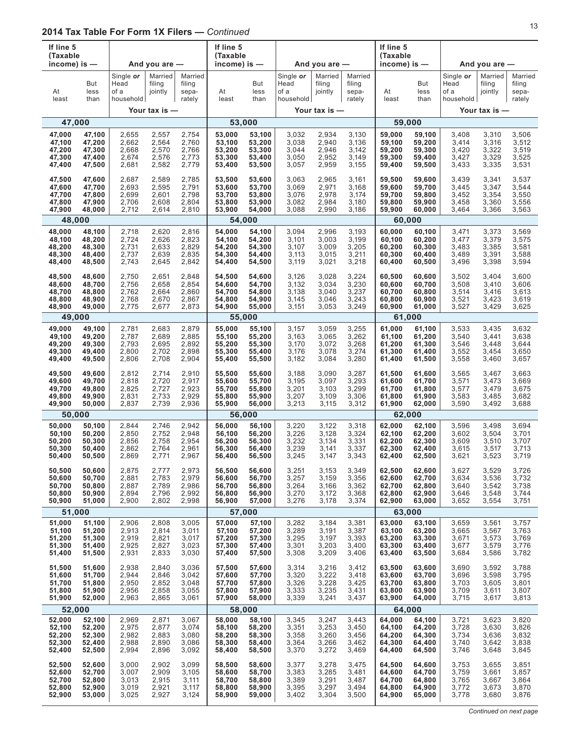|    | If line 5<br>(Taxable                                                                            |                                           |                                           |                                           | If line 5<br>(Taxable                          |                                                |                                           |                                           |                                           | If line 5<br>(Taxable                          |                                                |                                           |                                           |                                           |
|----|--------------------------------------------------------------------------------------------------|-------------------------------------------|-------------------------------------------|-------------------------------------------|------------------------------------------------|------------------------------------------------|-------------------------------------------|-------------------------------------------|-------------------------------------------|------------------------------------------------|------------------------------------------------|-------------------------------------------|-------------------------------------------|-------------------------------------------|
|    | income) is $-$                                                                                   |                                           | And you are $-$                           |                                           | income) is $-$                                 |                                                |                                           | And you are $-$                           |                                           | income) is $-$                                 |                                                |                                           | And you are -                             |                                           |
| At | But<br>less<br>least<br>than                                                                     | Single or<br>Head<br>of a<br>household    | Married<br>filing<br>jointly              | Married<br>filing<br>sepa-<br>rately      | At<br>least                                    | But<br>less<br>than                            | Single or<br>Head<br>of a<br>household    | Married<br>filing<br>jointly              | Married<br>filing<br>sepa-<br>rately      | At<br>least                                    | But<br>less<br>than                            | Single or<br>Head<br>of a<br>household    | Married<br>filing<br>jointly              | Married<br>filing<br>sepa-<br>rately      |
|    |                                                                                                  |                                           | Your tax is -                             |                                           |                                                |                                                |                                           | Your tax is -                             |                                           |                                                |                                                |                                           | Your tax is $-$                           |                                           |
|    | 47,000                                                                                           |                                           |                                           |                                           |                                                | 53,000                                         |                                           |                                           |                                           |                                                | 59,000                                         |                                           |                                           |                                           |
|    | 47,000<br>47,100<br>47,100<br>47,200<br>47,200<br>47,300<br>47,300<br>47,400<br>47,400<br>47,500 | 2,655<br>2,662<br>2,668<br>2,674<br>2,681 | 2,557<br>2,564<br>2,570<br>2,576<br>2,582 | 2,754<br>2,760<br>2,766<br>2,773<br>2,779 | 53,000<br>53,100<br>53,200<br>53,300<br>53,400 | 53,100<br>53,200<br>53,300<br>53,400<br>53,500 | 3,032<br>3,038<br>3,044<br>3,050<br>3,057 | 2,934<br>2,940<br>2,946<br>2,952<br>2,959 | 3,130<br>3,136<br>3,142<br>3,149<br>3,155 | 59,000<br>59,100<br>59,200<br>59,300<br>59,400 | 59,100<br>59,200<br>59,300<br>59,400<br>59,500 | 3,408<br>3,414<br>3,420<br>3,427<br>3,433 | 3,310<br>3,316<br>3,322<br>3,329<br>3,335 | 3,506<br>3,512<br>3,519<br>3,525<br>3,531 |
|    | 47,500<br>47,600<br>47,600<br>47,700<br>47,700<br>47,800<br>47,800<br>47,900<br>47,900<br>48,000 | 2,687<br>2,693<br>2,699<br>2,706<br>2,712 | 2,589<br>2,595<br>2,601<br>2,608<br>2,614 | 2,785<br>2,791<br>2,798<br>2,804<br>2,810 | 53,500<br>53,600<br>53,700<br>53,800<br>53,900 | 53,600<br>53,700<br>53,800<br>53,900<br>54,000 | 3,063<br>3,069<br>3,076<br>3,082<br>3,088 | 2,965<br>2,971<br>2,978<br>2,984<br>2,990 | 3,161<br>3,168<br>3,174<br>3,180<br>3,186 | 59,500<br>59,600<br>59,700<br>59,800<br>59,900 | 59,600<br>59,700<br>59,800<br>59,900<br>60,000 | 3,439<br>3,445<br>3,452<br>3,458<br>3,464 | 3,341<br>3,347<br>3,354<br>3,360<br>3,366 | 3,537<br>3,544<br>3,550<br>3,556<br>3,563 |
|    | 48,000                                                                                           |                                           |                                           |                                           |                                                | 54,000                                         |                                           |                                           |                                           |                                                | 60,000                                         |                                           |                                           |                                           |
|    | 48,000<br>48,100<br>48,100<br>48,200<br>48,200<br>48,300<br>48,300<br>48,400<br>48,400<br>48,500 | 2,718<br>2,724<br>2,731<br>2,737<br>2,743 | 2,620<br>2,626<br>2,633<br>2,639<br>2,645 | 2,816<br>2,823<br>2,829<br>2,835<br>2,842 | 54.000<br>54,100<br>54,200<br>54,300<br>54,400 | 54,100<br>54,200<br>54,300<br>54,400<br>54,500 | 3,094<br>3,101<br>3,107<br>3,113<br>3,119 | 2,996<br>3,003<br>3,009<br>3,015<br>3,021 | 3,193<br>3,199<br>3,205<br>3,211<br>3,218 | 60,000<br>60,100<br>60,200<br>60,300<br>60,400 | 60,100<br>60,200<br>60,300<br>60,400<br>60,500 | 3,471<br>3,477<br>3,483<br>3,489<br>3,496 | 3,373<br>3,379<br>3,385<br>3,391<br>3,398 | 3,569<br>3,575<br>3,581<br>3.588<br>3,594 |
|    | 48,500<br>48,600<br>48,600<br>48,700<br>48,700<br>48,800<br>48,800<br>48,900<br>48,900<br>49,000 | 2,750<br>2,756<br>2,762<br>2,768<br>2,775 | 2,651<br>2,658<br>2,664<br>2,670<br>2,677 | 2,848<br>2,854<br>2,860<br>2,867<br>2,873 | 54,500<br>54,600<br>54,700<br>54,800<br>54,900 | 54,600<br>54,700<br>54,800<br>54,900<br>55,000 | 3,126<br>3,132<br>3,138<br>3,145<br>3,151 | 3,028<br>3,034<br>3,040<br>3,046<br>3,053 | 3,224<br>3,230<br>3,237<br>3,243<br>3,249 | 60,500<br>60,600<br>60,700<br>60,800<br>60,900 | 60,600<br>60,700<br>60,800<br>60,900<br>61,000 | 3,502<br>3,508<br>3,514<br>3,521<br>3,527 | 3,404<br>3,410<br>3,416<br>3,423<br>3,429 | 3,600<br>3,606<br>3,613<br>3.619<br>3,625 |
|    | 49,000                                                                                           |                                           |                                           |                                           |                                                | 55,000                                         |                                           |                                           |                                           |                                                | 61,000                                         |                                           |                                           |                                           |
|    | 49,000<br>49,100<br>49,200<br>49,100<br>49,200<br>49,300<br>49,300<br>49,400<br>49,400<br>49,500 | 2,781<br>2,787<br>2,793<br>2,800<br>2,806 | 2,683<br>2,689<br>2,695<br>2,702<br>2,708 | 2,879<br>2,885<br>2,892<br>2,898<br>2,904 | 55,000<br>55,100<br>55,200<br>55,300<br>55,400 | 55,100<br>55,200<br>55,300<br>55,400<br>55,500 | 3,157<br>3,163<br>3,170<br>3,176<br>3,182 | 3,059<br>3,065<br>3,072<br>3,078<br>3,084 | 3,255<br>3,262<br>3,268<br>3,274<br>3,280 | 61,000<br>61,100<br>61,200<br>61,300<br>61,400 | 61,100<br>61,200<br>61,300<br>61,400<br>61,500 | 3,533<br>3,540<br>3,546<br>3,552<br>3,558 | 3,435<br>3,441<br>3,448<br>3,454<br>3,460 | 3,632<br>3,638<br>3,644<br>3,650<br>3,657 |
|    | 49,500<br>49,600<br>49,600<br>49,700<br>49,700<br>49,800<br>49,800<br>49,900<br>49,900<br>50,000 | 2,812<br>2,818<br>2,825<br>2,831<br>2,837 | 2,714<br>2,720<br>2,727<br>2,733<br>2,739 | 2,910<br>2,917<br>2,923<br>2,929<br>2,936 | 55,500<br>55,600<br>55,700<br>55,800<br>55,900 | 55,600<br>55,700<br>55,800<br>55,900<br>56,000 | 3,188<br>3,195<br>3,201<br>3,207<br>3,213 | 3,090<br>3,097<br>3,103<br>3,109<br>3,115 | 3,287<br>3,293<br>3,299<br>3,306<br>3,312 | 61,500<br>61,600<br>61,700<br>61,800<br>61,900 | 61,600<br>61,700<br>61,800<br>61,900<br>62,000 | 3,565<br>3,571<br>3,577<br>3,583<br>3,590 | 3,467<br>3,473<br>3,479<br>3,485<br>3,492 | 3,663<br>3,669<br>3,675<br>3,682<br>3,688 |
|    | 50,000                                                                                           |                                           |                                           |                                           |                                                | 56,000                                         |                                           |                                           |                                           |                                                | 62,000                                         |                                           |                                           |                                           |
|    | 50,000<br>50,100<br>50,100<br>50,200<br>50,200<br>50,300<br>50,300<br>50,400<br>50,400<br>50,500 | 2,844<br>2,850<br>2,856<br>2,862<br>2,869 | 2,746<br>2,752<br>2,758<br>2,764<br>2,771 | 2.942<br>2,948<br>2,954<br>2,961<br>2,967 | 56,000<br>56,100<br>56,200<br>56,300<br>56,400 | 56,100<br>56,200<br>56,300<br>56,400<br>56,500 | 3,220<br>3,226<br>3,232<br>3,239<br>3,245 | 3,122<br>3,128<br>3,134<br>3,141<br>3,147 | 3,318<br>3,324<br>3,331<br>3,337<br>3,343 | 62.000<br>62,100<br>62,200<br>62,300<br>62,400 | 62,100<br>62,200<br>62,300<br>62,400<br>62,500 | 3,596<br>3,602<br>3,609<br>3,615<br>3,621 | 3,498<br>3,504<br>3,510<br>3,517<br>3,523 | 3,694<br>3,701<br>3,707<br>3,713<br>3,719 |
|    | 50,500<br>50,600<br>50,600<br>50,700<br>50,700<br>50,800<br>50,800<br>50,900<br>50,900<br>51,000 | 2,875<br>2,881<br>2,887<br>2,894<br>2,900 | 2,777<br>2,783<br>2,789<br>2,796<br>2,802 | 2,973<br>2,979<br>2,986<br>2,992<br>2,998 | 56,500<br>56,600<br>56,700<br>56,800<br>56,900 | 56,600<br>56,700<br>56,800<br>56,900<br>57,000 | 3,251<br>3,257<br>3,264<br>3,270<br>3,276 | 3,153<br>3,159<br>3,166<br>3,172<br>3,178 | 3,349<br>3,356<br>3,362<br>3,368<br>3,374 | 62,500<br>62,600<br>62,700<br>62,800<br>62,900 | 62,600<br>62,700<br>62,800<br>62,900<br>63,000 | 3,627<br>3,634<br>3,640<br>3,646<br>3,652 | 3,529<br>3,536<br>3,542<br>3,548<br>3,554 | 3,726<br>3,732<br>3,738<br>3,744<br>3,751 |
|    | 51,000                                                                                           |                                           |                                           |                                           |                                                | 57,000                                         |                                           |                                           |                                           |                                                | 63,000                                         |                                           |                                           |                                           |
|    | 51,000<br>51,100<br>51,100<br>51,200<br>51,200<br>51,300<br>51,300<br>51,400<br>51,400<br>51,500 | 2,906<br>2,913<br>2,919<br>2,925<br>2,931 | 2,808<br>2,814<br>2,821<br>2,827<br>2,833 | 3,005<br>3,011<br>3,017<br>3,023<br>3,030 | 57,000<br>57,100<br>57,200<br>57,300<br>57,400 | 57,100<br>57,200<br>57,300<br>57,400<br>57,500 | 3,282<br>3,289<br>3,295<br>3,301<br>3,308 | 3,184<br>3,191<br>3,197<br>3,203<br>3,209 | 3,381<br>3,387<br>3,393<br>3,400<br>3,406 | 63,000<br>63,100<br>63,200<br>63,300<br>63,400 | 63,100<br>63,200<br>63,300<br>63,400<br>63,500 | 3,659<br>3,665<br>3,671<br>3,677<br>3,684 | 3,561<br>3,567<br>3,573<br>3,579<br>3,586 | 3,757<br>3,763<br>3,769<br>3,776<br>3,782 |
|    | 51,500<br>51,600<br>51,600<br>51,700<br>51,700<br>51,800<br>51,800<br>51,900<br>51,900<br>52,000 | 2,938<br>2,944<br>2,950<br>2,956<br>2,963 | 2,840<br>2,846<br>2,852<br>2,858<br>2,865 | 3,036<br>3,042<br>3,048<br>3,055<br>3,061 | 57,500<br>57,600<br>57,700<br>57,800<br>57,900 | 57,600<br>57,700<br>57,800<br>57,900<br>58,000 | 3,314<br>3,320<br>3,326<br>3,333<br>3,339 | 3,216<br>3,222<br>3,228<br>3,235<br>3,241 | 3,412<br>3,418<br>3,425<br>3,431<br>3,437 | 63,500<br>63,600<br>63,700<br>63,800<br>63,900 | 63,600<br>63,700<br>63,800<br>63,900<br>64,000 | 3,690<br>3,696<br>3,703<br>3,709<br>3,715 | 3,592<br>3,598<br>3,605<br>3,611<br>3,617 | 3,788<br>3,795<br>3,801<br>3,807<br>3,813 |
|    | 52,000                                                                                           |                                           |                                           |                                           |                                                | 58,000                                         |                                           |                                           |                                           |                                                | 64,000                                         |                                           |                                           |                                           |
|    | 52,000<br>52,100<br>52,100<br>52,200<br>52,200<br>52,300<br>52,300<br>52,400<br>52,400<br>52,500 | 2,969<br>2,975<br>2,982<br>2,988<br>2,994 | 2,871<br>2,877<br>2,883<br>2,890<br>2,896 | 3,067<br>3,074<br>3,080<br>3,086<br>3,092 | 58,000<br>58,100<br>58,200<br>58,300<br>58,400 | 58,100<br>58,200<br>58,300<br>58,400<br>58,500 | 3,345<br>3,351<br>3,358<br>3,364<br>3,370 | 3,247<br>3,253<br>3,260<br>3,266<br>3,272 | 3,443<br>3,450<br>3,456<br>3,462<br>3,469 | 64,000<br>64,100<br>64,200<br>64,300<br>64,400 | 64,100<br>64,200<br>64,300<br>64,400<br>64,500 | 3,721<br>3,728<br>3,734<br>3,740<br>3,746 | 3,623<br>3,630<br>3,636<br>3,642<br>3,648 | 3,820<br>3,826<br>3,832<br>3,838<br>3,845 |
|    | 52,500<br>52,600<br>52,600<br>52,700<br>52,700<br>52,800<br>52,800<br>52,900<br>52,900<br>53,000 | 3,000<br>3,007<br>3,013<br>3,019<br>3,025 | 2,902<br>2,909<br>2,915<br>2,921<br>2,927 | 3,099<br>3,105<br>3,111<br>3,117<br>3,124 | 58,500<br>58,600<br>58,700<br>58,800<br>58,900 | 58,600<br>58,700<br>58,800<br>58,900<br>59,000 | 3,377<br>3,383<br>3,389<br>3,395<br>3,402 | 3,278<br>3,285<br>3,291<br>3,297<br>3,304 | 3,475<br>3,481<br>3,487<br>3,494<br>3,500 | 64,500<br>64,600<br>64,700<br>64,800<br>64,900 | 64,600<br>64,700<br>64,800<br>64,900<br>65,000 | 3,753<br>3,759<br>3,765<br>3,772<br>3,778 | 3,655<br>3,661<br>3,667<br>3,673<br>3,680 | 3,851<br>3,857<br>3,864<br>3,870<br>3,876 |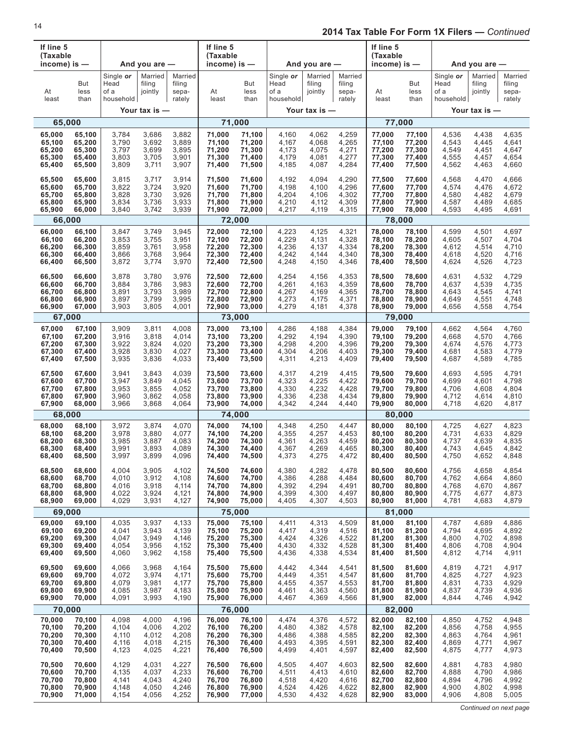| If line 5<br>(Taxable |                     |                                        |                              |                                      | If line 5<br>(Taxable |                     |                                        |                              |                                      | If line 5<br>(Taxable |                     |                                        |                              |                                      |
|-----------------------|---------------------|----------------------------------------|------------------------------|--------------------------------------|-----------------------|---------------------|----------------------------------------|------------------------------|--------------------------------------|-----------------------|---------------------|----------------------------------------|------------------------------|--------------------------------------|
| income) is $-$        |                     |                                        | And you are $-$              |                                      | income) is $-$        |                     |                                        | And you are $-$              |                                      | income) is $-$        |                     |                                        | And you are $-$              |                                      |
| At<br>least           | But<br>less<br>than | Single or<br>Head<br>of a<br>household | Married<br>filing<br>jointly | Married<br>filing<br>sepa-<br>rately | At<br>least           | But<br>less<br>than | Single or<br>Head<br>of a<br>household | Married<br>filing<br>jointly | Married<br>filing<br>sepa-<br>rately | At<br>least           | But<br>less<br>than | Single or<br>Head<br>of a<br>household | Married<br>filing<br>jointly | Married<br>filing<br>sepa-<br>rately |
|                       |                     |                                        | Your tax is $-$              |                                      |                       |                     |                                        | Your tax is $-$              |                                      |                       |                     |                                        | Your tax is —                |                                      |
| 65,000                |                     |                                        |                              |                                      |                       | 71,000              |                                        |                              |                                      |                       | 77,000              |                                        |                              |                                      |
| 65,000                | 65,100              | 3,784                                  | 3,686                        | 3,882                                | 71,000                | 71,100              | 4,160                                  | 4,062                        | 4,259                                | 77,000                | 77,100              | 4,536                                  | 4,438                        | 4,635                                |
| 65,100                | 65,200              | 3,790                                  | 3,692                        | 3,889                                | 71,100                | 71,200              | 4,167                                  | 4,068                        | 4,265                                | 77,100                | 77,200              | 4,543                                  | 4,445                        | 4,641                                |
| 65,200                | 65,300              | 3,797                                  | 3,699                        | 3,895                                | 71,200                | 71,300              | 4,173                                  | 4,075                        | 4,271                                | 77,200                | 77,300              | 4,549                                  | 4,451                        | 4,647                                |
| 65,300                | 65,400              | 3,803                                  | 3,705                        | 3,901                                | 71,300                | 71,400              | 4,179                                  | 4,081                        | 4,277                                | 77,300                | 77,400              | 4,555                                  | 4,457                        | 4,654                                |
| 65,400                | 65,500              | 3,809                                  | 3,711                        | 3,907                                | 71,400                | 71,500              | 4,185                                  | 4,087                        | 4,284                                | 77,400                | 77,500              | 4,562                                  | 4,463                        | 4,660                                |
| 65,500                | 65,600              | 3,815                                  | 3,717                        | 3,914                                | 71,500                | 71,600              | 4,192                                  | 4,094                        | 4,290                                | 77,500                | 77,600              | 4,568                                  | 4,470                        | 4,666                                |
| 65,600                | 65,700              | 3,822                                  | 3,724                        | 3,920                                | 71,600                | 71,700              | 4,198                                  | 4,100                        | 4,296                                | 77,600                | 77,700              | 4,574                                  | 4,476                        | 4,672                                |
| 65,700                | 65,800              | 3,828                                  | 3,730                        | 3,926                                | 71,700                | 71,800              | 4,204                                  | 4,106                        | 4,302                                | 77,700                | 77,800              | 4,580                                  | 4,482                        | 4,679                                |
| 65,800                | 65,900              | 3,834                                  | 3,736                        | 3,933                                | 71,800                | 71,900              | 4,210                                  | 4,112                        | 4,309                                | 77,800                | 77,900              | 4,587                                  | 4,489                        | 4,685                                |
| 65,900                | 66,000              | 3,840                                  | 3,742                        | 3,939                                | 71,900                | 72,000              | 4,217                                  | 4,119                        | 4,315                                | 77,900                | 78,000              | 4,593                                  | 4,495                        | 4,691                                |
| 66,000                |                     |                                        |                              |                                      | 72,000                |                     |                                        |                              |                                      |                       | 78,000              |                                        |                              |                                      |
| 66,000                | 66,100              | 3,847                                  | 3,749                        | 3,945                                | 72,000                | 72,100              | 4,223                                  | 4,125                        | 4,321                                | 78,000                | 78,100              | 4,599                                  | 4,501                        | 4,697                                |
| 66,100                | 66,200              | 3,853                                  | 3,755                        | 3,951                                | 72,100                | 72,200              | 4,229                                  | 4,131                        | 4,328                                | 78,100                | 78,200              | 4,605                                  | 4,507                        | 4,704                                |
| 66,200                | 66,300              | 3,859                                  | 3,761                        | 3,958                                | 72,200                | 72,300              | 4,236                                  | 4,137                        | 4,334                                | 78,200                | 78,300              | 4,612                                  | 4,514                        | 4,710                                |
| 66,300                | 66,400              | 3,866                                  | 3,768                        | 3,964                                | 72,300                | 72,400              | 4,242                                  | 4,144                        | 4,340                                | 78,300                | 78,400              | 4,618                                  | 4,520                        | 4,716                                |
| 66,400                | 66,500              | 3,872                                  | 3,774                        | 3,970                                | 72,400                | 72,500              | 4,248                                  | 4,150                        | 4,346                                | 78,400                | 78,500              | 4,624                                  | 4,526                        | 4,723                                |
| 66,500                | 66,600              | 3,878                                  | 3,780                        | 3,976                                | 72,500                | 72,600              | 4,254                                  | 4,156                        | 4,353                                | 78,500                | 78,600              | 4,631                                  | 4,532                        | 4,729                                |
| 66,600                | 66,700              | 3,884                                  | 3,786                        | 3,983                                | 72,600                | 72,700              | 4,261                                  | 4,163                        | 4,359                                | 78,600                | 78,700              | 4,637                                  | 4,539                        | 4,735                                |
| 66,700                | 66,800              | 3,891                                  | 3,793                        | 3,989                                | 72,700                | 72,800              | 4,267                                  | 4,169                        | 4,365                                | 78,700                | 78,800              | 4,643                                  | 4,545                        | 4,741                                |
| 66,800                | 66,900              | 3,897                                  | 3,799                        | 3,995                                | 72,800                | 72,900              | 4,273                                  | 4,175                        | 4,371                                | 78,800                | 78,900              | 4,649                                  | 4,551                        | 4,748                                |
| 66,900                | 67,000              | 3,903                                  | 3,805                        | 4,001                                | 72,900                | 73,000              | 4,279                                  | 4,181                        | 4,378                                | 78,900                | 79,000              | 4,656                                  | 4,558                        | 4,754                                |
| 67,000                |                     |                                        |                              |                                      | 73,000                |                     |                                        |                              |                                      |                       | 79,000              |                                        |                              |                                      |
| 67,000                | 67,100              | 3,909                                  | 3,811                        | 4,008                                | 73,000                | 73,100              | 4,286                                  | 4,188                        | 4,384                                | 79,000                | 79,100              | 4,662                                  | 4,564                        | 4,760                                |
| 67,100                | 67,200              | 3,916                                  | 3,818                        | 4,014                                | 73,100                | 73,200              | 4,292                                  | 4,194                        | 4,390                                | 79,100                | 79,200              | 4,668                                  | 4,570                        | 4,766                                |
| 67,200                | 67,300              | 3,922                                  | 3,824                        | 4,020                                | 73,200                | 73,300              | 4,298                                  | 4,200                        | 4,396                                | 79,200                | 79,300              | 4,674                                  | 4,576                        | 4,773                                |
| 67,300                | 67,400              | 3,928                                  | 3,830                        | 4,027                                | 73,300                | 73,400              | 4,304                                  | 4,206                        | 4,403                                | 79,300                | 79,400              | 4,681                                  | 4,583                        | 4,779                                |
| 67,400                | 67,500              | 3,935                                  | 3,836                        | 4,033                                | 73,400                | 73,500              | 4,311                                  | 4,213                        | 4,409                                | 79,400                | 79,500              | 4,687                                  | 4,589                        | 4,785                                |
| 67,500                | 67,600              | 3,941                                  | 3,843                        | 4,039                                | 73,500                | 73,600              | 4,317                                  | 4,219                        | 4,415                                | 79,500                | 79,600              | 4,693                                  | 4,595                        | 4,791                                |
| 67,600                | 67,700              | 3,947                                  | 3,849                        | 4,045                                | 73,600                | 73,700              | 4,323                                  | 4,225                        | 4,422                                | 79,600                | 79,700              | 4,699                                  | 4,601                        | 4,798                                |
| 67,700                | 67,800              | 3,953                                  | 3,855                        | 4,052                                | 73,700                | 73,800              | 4,330                                  | 4,232                        | 4,428                                | 79,700                | 79,800              | 4,706                                  | 4,608                        | 4,804                                |
| 67,800                | 67,900              | 3,960                                  | 3,862                        | 4,058                                | 73,800                | 73,900              | 4,336                                  | 4,238                        | 4,434                                | 79,800                | 79,900              | 4,712                                  | 4,614                        | 4,810                                |
| 67,900                | 68,000              | 3,966                                  | 3,868                        | 4,064                                | 73,900                | 74,000              | 4,342                                  | 4,244                        | 4,440                                | 79,900                | 80,000              | 4,718                                  | 4,620                        | 4,817                                |
| 68,000                |                     |                                        |                              |                                      | 74.000                |                     |                                        |                              |                                      |                       | 80,000              |                                        |                              |                                      |
| 68,000                | 68,100              | 3,972                                  | 3,874                        | 4,070                                | 74,000                | 74,100              | 4,348                                  | 4,250                        | 4,447                                | 80,000                | 80,100              | 4,725                                  | 4,627                        | 4,823                                |
| 68,100                | 68,200              | 3,978                                  | 3,880                        | 4,077                                | 74,100                | 74,200              | 4,355                                  | 4,257                        | 4,453                                | 80,100                | 80,200              | 4,731                                  | 4,633                        | 4,829                                |
| 68,200                | 68,300              | 3,985                                  | 3,887                        | 4,083                                | 74,200                | 74,300              | 4,361                                  | 4,263                        | 4,459                                | 80,200                | 80,300              | 4,737                                  | 4,639                        | 4,835                                |
| 68,300                | 68,400              | 3,991                                  | 3,893                        | 4,089                                | 74,300                | 74,400              | 4,367                                  | 4,269                        | 4,465                                | 80,300                | 80,400              | 4,743                                  | 4,645                        | 4,842                                |
| 68,400                | 68,500              | 3,997                                  | 3,899                        | 4,096                                | 74,400                | 74,500              | 4,373                                  | 4,275                        | 4,472                                | 80,400                | 80,500              | 4,750                                  | 4,652                        | 4,848                                |
| 68,500                | 68,600              | 4,004                                  | 3,905                        | 4,102                                | 74,500                | 74,600              | 4,380                                  | 4,282                        | 4,478                                | 80,500                | 80,600              | 4,756                                  | 4,658                        | 4,854                                |
| 68,600                | 68,700              | 4,010                                  | 3,912                        | 4,108                                | 74,600                | 74,700              | 4,386                                  | 4,288                        | 4,484                                | 80,600                | 80,700              | 4,762                                  | 4,664                        | 4,860                                |
| 68,700                | 68,800              | 4,016                                  | 3,918                        | 4,114                                | 74,700                | 74,800              | 4,392                                  | 4,294                        | 4,491                                | 80,700                | 80,800              | 4,768                                  | 4,670                        | 4,867                                |
| 68,800                | 68,900              | 4,022                                  | 3,924                        | 4,121                                | 74,800                | 74,900              | 4,399                                  | 4,300                        | 4,497                                | 80,800                | 80,900              | 4,775                                  | 4,677                        | 4,873                                |
| 68,900                | 69,000              | 4,029                                  | 3,931                        | 4,127                                | 74,900                | 75,000              | 4,405                                  | 4,307                        | 4,503                                | 80,900                | 81,000              | 4,781                                  | 4,683                        | 4,879                                |
| 69,000                |                     |                                        |                              |                                      | 75,000                |                     |                                        |                              |                                      |                       | 81,000              |                                        |                              |                                      |
| 69,000                | 69,100              | 4,035                                  | 3,937                        | 4,133                                | 75,000                | 75,100              | 4,411                                  | 4,313                        | 4,509                                | 81,000                | 81,100              | 4,787                                  | 4,689                        | 4,886                                |
| 69,100                | 69,200              | 4,041                                  | 3,943                        | 4,139                                | 75,100                | 75,200              | 4,417                                  | 4,319                        | 4,516                                | 81,100                | 81,200              | 4,794                                  | 4,695                        | 4,892                                |
| 69,200                | 69,300              | 4,047                                  | 3,949                        | 4,146                                | 75,200                | 75,300              | 4,424                                  | 4,326                        | 4,522                                | 81,200                | 81,300              | 4,800                                  | 4,702                        | 4,898                                |
| 69,300                | 69,400              | 4,054                                  | 3,956                        | 4,152                                | 75,300                | 75,400              | 4,430                                  | 4,332                        | 4,528                                | 81,300                | 81,400              | 4,806                                  | 4,708                        | 4,904                                |
| 69,400                | 69,500              | 4,060                                  | 3,962                        | 4,158                                | 75,400                | 75,500              | 4,436                                  | 4,338                        | 4,534                                | 81,400                | 81,500              | 4,812                                  | 4,714                        | 4,911                                |
| 69,500                | 69,600              | 4,066                                  | 3,968                        | 4,164                                | 75,500                | 75,600              | 4,442                                  | 4,344                        | 4,541                                | 81,500                | 81,600              | 4,819                                  | 4,721                        | 4,917                                |
| 69,600                | 69,700              | 4,072                                  | 3,974                        | 4,171                                | 75,600                | 75,700              | 4,449                                  | 4,351                        | 4,547                                | 81,600                | 81,700              | 4,825                                  | 4,727                        | 4,923                                |
| 69,700                | 69,800              | 4,079                                  | 3,981                        | 4,177                                | 75,700                | 75,800              | 4,455                                  | 4,357                        | 4,553                                | 81,700                | 81,800              | 4,831                                  | 4,733                        | 4,929                                |
| 69,800                | 69,900              | 4,085                                  | 3,987                        | 4,183                                | 75,800                | 75,900              | 4,461                                  | 4,363                        | 4,560                                | 81,800                | 81,900              | 4,837                                  | 4,739                        | 4,936                                |
| 69,900                | 70,000              | 4,091                                  | 3,993                        | 4,190                                | 75,900                | 76,000              | 4,467                                  | 4,369                        | 4,566                                | 81,900                | 82,000              | 4,844                                  | 4,746                        | 4,942                                |
| 70,000                |                     |                                        |                              |                                      | 76,000                |                     |                                        |                              |                                      |                       | 82,000              |                                        |                              |                                      |
| 70,000                | 70,100              | 4,098                                  | 4,000                        | 4,196                                | 76,000                | 76,100              | 4,474                                  | 4,376                        | 4,572                                | 82,000                | 82,100              | 4,850                                  | 4,752                        | 4,948                                |
| 70,100                | 70,200              | 4,104                                  | 4,006                        | 4,202                                | 76,100                | 76,200              | 4,480                                  | 4,382                        | 4,578                                | 82,100                | 82,200              | 4,856                                  | 4,758                        | 4,955                                |
| 70,200                | 70,300              | 4,110                                  | 4,012                        | 4,208                                | 76,200                | 76,300              | 4,486                                  | 4,388                        | 4,585                                | 82,200                | 82,300              | 4,863                                  | 4,764                        | 4,961                                |
| 70,300                | 70,400              | 4,116                                  | 4,018                        | 4,215                                | 76,300                | 76,400              | 4,493                                  | 4,395                        | 4,591                                | 82,300                | 82,400              | 4,869                                  | 4,771                        | 4,967                                |
| 70,400                | 70,500              | 4,123                                  | 4,025                        | 4,221                                | 76,400                | 76,500              | 4,499                                  | 4,401                        | 4,597                                | 82,400                | 82,500              | 4,875                                  | 4,777                        | 4,973                                |
| 70,500                | 70,600              | 4,129                                  | 4,031                        | 4,227                                | 76,500                | 76,600              | 4,505                                  | 4,407                        | 4,603                                | 82,500                | 82,600              | 4,881                                  | 4,783                        | 4,980                                |
| 70,600                | 70,700              | 4,135                                  | 4,037                        | 4,233                                | 76,600                | 76,700              | 4,511                                  | 4,413                        | 4,610                                | 82,600                | 82,700              | 4,888                                  | 4,790                        | 4,986                                |
| 70,700                | 70,800              | 4,141                                  | 4,043                        | 4,240                                | 76,700                | 76,800              | 4,518                                  | 4,420                        | 4,616                                | 82,700                | 82,800              | 4,894                                  | 4,796                        | 4,992                                |
| 70,800                | 70,900              | 4,148                                  | 4,050                        | 4,246                                | 76,800                | 76,900              | 4,524                                  | 4,426                        | 4,622                                | 82,800                | 82,900              | 4,900                                  | 4,802                        | 4,998                                |
| 70,900                | 71,000              | 4,154                                  | 4,056                        | 4,252                                | 76,900                | 77,000              | 4,530                                  | 4,432                        | 4,628                                | 82,900                | 83,000              | 4,906                                  | 4,808                        | 5,005                                |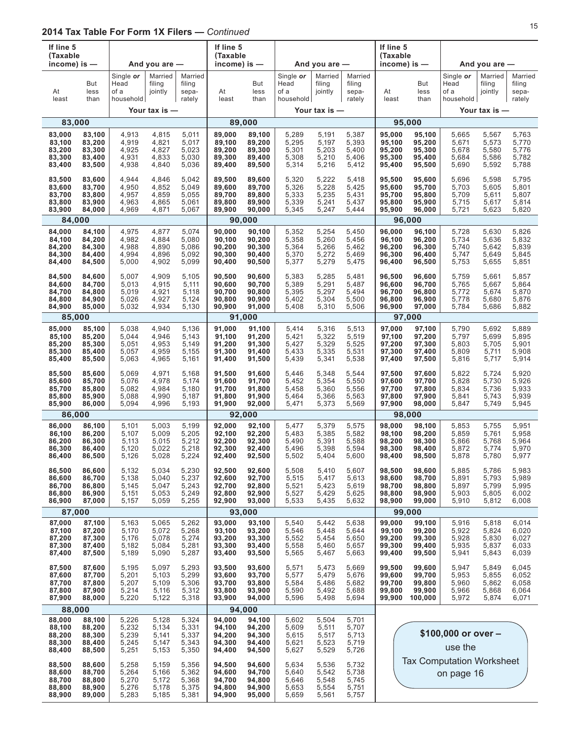| If line 5<br>(Taxable<br>income) is $-$        |                                                |                                           | And you are -                             |                                           | If line 5<br>(Taxable<br>income) is $-$        |                                                |                                           | And you are $-$                           |                                           | If line 5<br>(Taxable<br>income) is $-$        |                                                 |                                           | And you are -                             |                                           |
|------------------------------------------------|------------------------------------------------|-------------------------------------------|-------------------------------------------|-------------------------------------------|------------------------------------------------|------------------------------------------------|-------------------------------------------|-------------------------------------------|-------------------------------------------|------------------------------------------------|-------------------------------------------------|-------------------------------------------|-------------------------------------------|-------------------------------------------|
| At<br>least                                    | But<br>less<br>than                            | Single or<br>Head<br>of a<br>household    | Married<br>filing<br>jointly              | Married<br>filing<br>sepa-<br>rately      | At<br>least                                    | But<br>less<br>than                            | Single or<br>Head<br>of a<br>household    | Married<br>filing<br>jointly              | Married<br>filing<br>sepa-<br>rately      | At<br>least                                    | But<br>less<br>than                             | Single or<br>Head<br>of a<br>household    | Married<br>filing<br>jointly              | Married<br>filing<br>sepa-<br>rately      |
|                                                |                                                |                                           | Your tax is -                             |                                           |                                                |                                                |                                           | Your tax is $-$                           |                                           |                                                |                                                 |                                           | Your tax is -                             |                                           |
| 83,000                                         |                                                |                                           |                                           |                                           |                                                | 89,000                                         |                                           |                                           |                                           |                                                | 95,000                                          |                                           |                                           |                                           |
| 83,000<br>83,100<br>83,200<br>83,300<br>83,400 | 83,100<br>83,200<br>83,300<br>83,400<br>83,500 | 4,913<br>4,919<br>4,925<br>4,931<br>4,938 | 4,815<br>4,821<br>4,827<br>4,833<br>4,840 | 5,011<br>5,017<br>5,023<br>5,030<br>5,036 | 89,000<br>89.100<br>89,200<br>89,300<br>89,400 | 89,100<br>89,200<br>89,300<br>89,400<br>89,500 | 5,289<br>5,295<br>5,301<br>5,308<br>5,314 | 5,191<br>5,197<br>5,203<br>5,210<br>5,216 | 5,387<br>5,393<br>5,400<br>5,406<br>5,412 | 95,000<br>95,100<br>95,200<br>95,300<br>95,400 | 95,100<br>95,200<br>95,300<br>95,400<br>95,500  | 5,665<br>5,671<br>5,678<br>5,684<br>5,690 | 5,567<br>5,573<br>5,580<br>5,586<br>5,592 | 5,763<br>5,770<br>5,776<br>5,782<br>5,788 |
| 83,500<br>83,600<br>83,700<br>83,800<br>83,900 | 83,600<br>83,700<br>83,800<br>83,900<br>84,000 | 4,944<br>4,950<br>4,957<br>4,963<br>4,969 | 4,846<br>4,852<br>4,859<br>4,865<br>4,871 | 5,042<br>5,049<br>5,055<br>5,061<br>5,067 | 89,500<br>89,600<br>89,700<br>89,800<br>89,900 | 89,600<br>89,700<br>89,800<br>89,900<br>90,000 | 5,320<br>5,326<br>5,333<br>5,339<br>5,345 | 5,222<br>5,228<br>5,235<br>5,241<br>5,247 | 5,418<br>5,425<br>5,431<br>5,437<br>5,444 | 95,500<br>95,600<br>95,700<br>95,800<br>95,900 | 95,600<br>95,700<br>95,800<br>95,900<br>96,000  | 5,696<br>5,703<br>5,709<br>5,715<br>5,721 | 5,598<br>5,605<br>5,611<br>5,617<br>5,623 | 5,795<br>5,801<br>5,807<br>5,814<br>5,820 |
| 84,000                                         |                                                |                                           |                                           |                                           |                                                | 90,000                                         |                                           |                                           |                                           |                                                | 96,000                                          |                                           |                                           |                                           |
| 84,000<br>84,100<br>84,200<br>84,300<br>84,400 | 84,100<br>84,200<br>84,300<br>84,400<br>84,500 | 4,975<br>4,982<br>4,988<br>4,994<br>5,000 | 4,877<br>4,884<br>4,890<br>4,896<br>4,902 | 5,074<br>5,080<br>5,086<br>5,092<br>5,099 | 90,000<br>90,100<br>90,200<br>90,300<br>90,400 | 90,100<br>90,200<br>90,300<br>90,400<br>90,500 | 5,352<br>5,358<br>5,364<br>5,370<br>5,377 | 5,254<br>5,260<br>5,266<br>5,272<br>5,279 | 5,450<br>5,456<br>5,462<br>5,469<br>5,475 | 96,000<br>96,100<br>96,200<br>96,300<br>96,400 | 96,100<br>96,200<br>96,300<br>96,400<br>96,500  | 5,728<br>5,734<br>5,740<br>5,747<br>5,753 | 5,630<br>5,636<br>5,642<br>5,649<br>5,655 | 5,826<br>5,832<br>5,839<br>5,845<br>5,851 |
| 84,500<br>84,600<br>84,700<br>84,800<br>84,900 | 84,600<br>84,700<br>84,800<br>84,900<br>85,000 | 5,007<br>5,013<br>5,019<br>5,026<br>5,032 | 4,909<br>4,915<br>4,921<br>4,927<br>4,934 | 5,105<br>5,111<br>5,118<br>5,124<br>5,130 | 90,500<br>90,600<br>90,700<br>90,800<br>90,900 | 90,600<br>90,700<br>90,800<br>90,900<br>91,000 | 5,383<br>5,389<br>5,395<br>5,402<br>5,408 | 5,285<br>5,291<br>5,297<br>5,304<br>5,310 | 5,481<br>5,487<br>5,494<br>5,500<br>5,506 | 96,500<br>96,600<br>96,700<br>96,800<br>96,900 | 96,600<br>96,700<br>96,800<br>96,900<br>97,000  | 5,759<br>5,765<br>5,772<br>5,778<br>5,784 | 5,661<br>5,667<br>5,674<br>5,680<br>5,686 | 5,857<br>5,864<br>5,870<br>5,876<br>5,882 |
| 85,000                                         |                                                |                                           |                                           |                                           |                                                | 91,000                                         |                                           |                                           |                                           |                                                | 97,000                                          |                                           |                                           |                                           |
| 85,000<br>85,100<br>85,200<br>85,300<br>85,400 | 85,100<br>85,200<br>85,300<br>85,400<br>85,500 | 5,038<br>5,044<br>5,051<br>5,057<br>5,063 | 4,940<br>4,946<br>4,953<br>4,959<br>4,965 | 5,136<br>5,143<br>5,149<br>5,155<br>5,161 | 91,000<br>91,100<br>91,200<br>91,300<br>91,400 | 91,100<br>91,200<br>91,300<br>91,400<br>91,500 | 5,414<br>5,421<br>5,427<br>5,433<br>5,439 | 5,316<br>5,322<br>5,329<br>5,335<br>5,341 | 5,513<br>5,519<br>5,525<br>5,531<br>5,538 | 97,000<br>97,100<br>97,200<br>97,300<br>97,400 | 97,100<br>97,200<br>97,300<br>97,400<br>97,500  | 5,790<br>5,797<br>5,803<br>5,809<br>5,816 | 5,692<br>5,699<br>5,705<br>5,711<br>5,717 | 5,889<br>5,895<br>5,901<br>5,908<br>5,914 |
| 85,500<br>85,600<br>85,700<br>85,800<br>85,900 | 85,600<br>85,700<br>85,800<br>85,900<br>86,000 | 5,069<br>5,076<br>5,082<br>5,088<br>5,094 | 4,971<br>4,978<br>4,984<br>4,990<br>4,996 | 5,168<br>5,174<br>5,180<br>5,187<br>5,193 | 91,500<br>91,600<br>91,700<br>91,800<br>91,900 | 91,600<br>91,700<br>91,800<br>91,900<br>92,000 | 5,446<br>5,452<br>5,458<br>5,464<br>5,471 | 5,348<br>5,354<br>5,360<br>5,366<br>5,373 | 5,544<br>5,550<br>5,556<br>5,563<br>5,569 | 97,500<br>97,600<br>97,700<br>97,800<br>97,900 | 97,600<br>97,700<br>97,800<br>97,900<br>98,000  | 5,822<br>5,828<br>5,834<br>5,841<br>5,847 | 5,724<br>5,730<br>5,736<br>5,743<br>5,749 | 5,920<br>5,926<br>5,933<br>5,939<br>5,945 |
| 86,000                                         |                                                |                                           |                                           |                                           |                                                | 92,000                                         |                                           |                                           |                                           |                                                | 98,000                                          |                                           |                                           |                                           |
| 86,000<br>86,100<br>86,200<br>86,300<br>86,400 | 86,100<br>86,200<br>86,300<br>86.400<br>86,500 | 5,101<br>5,107<br>5,113<br>5,120<br>5,126 | 5.003<br>5,009<br>5,015<br>5,022<br>5,028 | 5,199<br>5,205<br>5,212<br>5,218<br>5,224 | 92,000<br>92,100<br>92,200<br>92,300<br>92,400 | 92,100<br>92,200<br>92,300<br>92,400<br>92,500 | 5,477<br>5,483<br>5,490<br>5,496<br>5,502 | 5,379<br>5,385<br>5,391<br>5,398<br>5,404 | 5,575<br>5,582<br>5,588<br>5,594<br>5,600 | 98,000<br>98,100<br>98,200<br>98,300<br>98,400 | 98,100<br>98,200<br>98,300<br>98,400<br>98,500  | 5,853<br>5,859<br>5,866<br>5,872<br>5,878 | 5,755<br>5,761<br>5,768<br>5,774<br>5,780 | 5,951<br>5,958<br>5,964<br>5,970<br>5,977 |
| 86,500<br>86,600<br>86,700<br>86,800<br>86,900 | 86,600<br>86,700<br>86,800<br>86,900<br>87,000 | 5,132<br>5,138<br>5,145<br>5,151<br>5,157 | 5,034<br>5,040<br>5,047<br>5,053<br>5,059 | 5,230<br>5,237<br>5,243<br>5,249<br>5,255 | 92,500<br>92,600<br>92,700<br>92,800<br>92,900 | 92,600<br>92,700<br>92,800<br>92,900<br>93,000 | 5,508<br>5,515<br>5,521<br>5,527<br>5,533 | 5,410<br>5,417<br>5,423<br>5,429<br>5,435 | 5,607<br>5,613<br>5,619<br>5,625<br>5,632 | 98,500<br>98,600<br>98,700<br>98,800<br>98,900 | 98,600<br>98,700<br>98,800<br>98,900<br>99,000  | 5,885<br>5,891<br>5,897<br>5,903<br>5,910 | 5,786<br>5,793<br>5,799<br>5,805<br>5,812 | 5,983<br>5,989<br>5,995<br>6,002<br>6,008 |
|                                                | 87,000                                         |                                           |                                           |                                           |                                                | 93,000                                         |                                           |                                           |                                           |                                                | 99,000                                          |                                           |                                           |                                           |
| 87,000<br>87,100<br>87,200<br>87,300<br>87,400 | 87,100<br>87,200<br>87,300<br>87,400<br>87,500 | 5,163<br>5,170<br>5,176<br>5,182<br>5,189 | 5,065<br>5,072<br>5,078<br>5,084<br>5,090 | 5,262<br>5,268<br>5,274<br>5,281<br>5,287 | 93,000<br>93,100<br>93,200<br>93,300<br>93,400 | 93,100<br>93,200<br>93,300<br>93,400<br>93,500 | 5,540<br>5,546<br>5,552<br>5,558<br>5,565 | 5,442<br>5,448<br>5,454<br>5,460<br>5,467 | 5,638<br>5,644<br>5,650<br>5,657<br>5,663 | 99,000<br>99,100<br>99,200<br>99,300<br>99,400 | 99,100<br>99,200<br>99,300<br>99,400<br>99,500  | 5,916<br>5,922<br>5,928<br>5,935<br>5,941 | 5,818<br>5,824<br>5,830<br>5,837<br>5,843 | 6,014<br>6,020<br>6,027<br>6,033<br>6,039 |
| 87,500<br>87,600<br>87,700<br>87,800<br>87,900 | 87,600<br>87,700<br>87,800<br>87,900<br>88,000 | 5,195<br>5,201<br>5,207<br>5,214<br>5,220 | 5,097<br>5,103<br>5,109<br>5,116<br>5,122 | 5,293<br>5,299<br>5,306<br>5,312<br>5,318 | 93,500<br>93,600<br>93,700<br>93,800<br>93,900 | 93,600<br>93,700<br>93,800<br>93,900<br>94,000 | 5,571<br>5,577<br>5,584<br>5,590<br>5,596 | 5,473<br>5,479<br>5,486<br>5,492<br>5,498 | 5,669<br>5,676<br>5,682<br>5,688<br>5,694 | 99,500<br>99,600<br>99,700<br>99,800<br>99,900 | 99,600<br>99,700<br>99,800<br>99,900<br>100,000 | 5,947<br>5,953<br>5,960<br>5,966<br>5,972 | 5,849<br>5,855<br>5,862<br>5,868<br>5,874 | 6,045<br>6,052<br>6,058<br>6,064<br>6,071 |
| 88,000                                         |                                                |                                           |                                           |                                           |                                                | 94,000                                         |                                           |                                           |                                           |                                                |                                                 |                                           |                                           |                                           |
| 88,000<br>88,100<br>88,200<br>88,300<br>88,400 | 88,100<br>88,200<br>88,300<br>88,400<br>88,500 | 5,226<br>5,232<br>5,239<br>5,245<br>5,251 | 5,128<br>5,134<br>5,141<br>5,147<br>5,153 | 5,324<br>5,331<br>5,337<br>5,343<br>5,350 | 94,000<br>94,100<br>94,200<br>94,300<br>94,400 | 94,100<br>94,200<br>94,300<br>94,400<br>94,500 | 5,602<br>5,609<br>5,615<br>5,621<br>5,627 | 5,504<br>5,511<br>5,517<br>5,523<br>5,529 | 5,701<br>5,707<br>5,713<br>5,719<br>5,726 |                                                |                                                 | \$100,000 or over -<br>use the            |                                           |                                           |
| 88,500<br>88,600<br>88,700<br>88,800<br>88,900 | 88,600<br>88,700<br>88,800<br>88,900<br>89,000 | 5,258<br>5,264<br>5,270<br>5,276<br>5,283 | 5,159<br>5,166<br>5,172<br>5,178<br>5,185 | 5,356<br>5,362<br>5,368<br>5,375<br>5,381 | 94,500<br>94,600<br>94,700<br>94,800<br>94,900 | 94,600<br>94,700<br>94,800<br>94,900<br>95,000 | 5,634<br>5,640<br>5,646<br>5,653<br>5,659 | 5,536<br>5,542<br>5,548<br>5,554<br>5,561 | 5,732<br>5,738<br>5,745<br>5,751<br>5,757 | <b>Tax Computation Worksheet</b><br>on page 16 |                                                 |                                           |                                           |                                           |